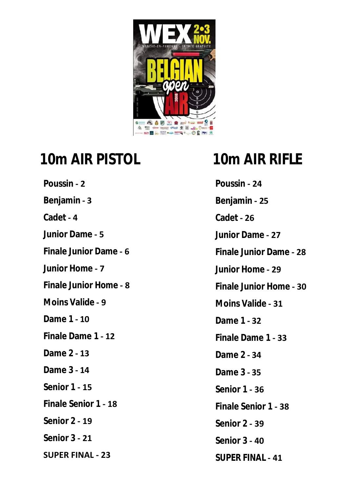

# **10m AIR PISTOL 10m AIR RIFLE**

**[Poussin](#page-1-0) - 2 [Benjamin](#page-2-0) - 3 [Cadet](#page-3-0) - 4 [Junior Dame](#page-4-0) - 5 [Finale Junior](#page-5-0) Dame - 6 [Junior Home](#page-6-0) - 7 [Finale Junior Home](#page-7-0) - 8 [Moins Valide](#page-8-0) - 9 [Dame 1](#page-9-0) - 10 [Finale Dame 1](#page-11-0) - 12 [Dame 2](#page-12-0) - 13 [Dame 3](#page-13-0) - 14 [Senior 1](#page-14-0) - 15 [Finale Senior 1](#page-17-0) - 18 [Senior 2](#page-18-0) - 19 [Senior 3](#page-20-0) - 21 [SUPER FINAL - 23](#page-22-0)**

**[Poussin](#page-23-0) - 24 [Benjamin](#page-24-0) - 25 [Cadet](#page-25-0) - 26 [Junior Dame](#page-26-0) - 27 [Finale Junior Dame](#page-27-0) - 28 [Junior Home](#page-28-0) - 29 [Finale Junior Home](#page-29-0) - 30 [Moins Valide](#page-30-0) - 31 [Dame 1](#page-31-0) - 32 [Finale Dame 1](#page-32-0) - 33 [Dame 2](#page-33-0) - 34 [Dame 3](#page-34-0) - 35 [Senior 1](#page-35-0) - 36 [Finale Senior 1](#page-37-0) - 38 [Senior 2](#page-38-0) - 39 [Senior 3](#page-39-0) - 40 [SUPER FINAL](#page-40-0) - 41**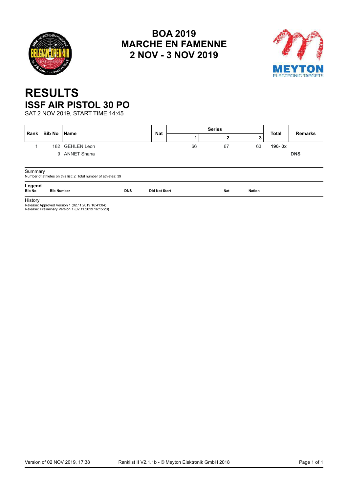<span id="page-1-0"></span>



## **RESULTS ISSF AIR PISTOL 30 PO**

SAT 2 NOV 2019, START TIME 14:45

| Rank                    | <b>Bib No</b><br>l Name |                                                                                                           |            | <b>Nat</b>           |    | <b>Series</b> |               | <b>Total</b> | <b>Remarks</b> |
|-------------------------|-------------------------|-----------------------------------------------------------------------------------------------------------|------------|----------------------|----|---------------|---------------|--------------|----------------|
|                         |                         |                                                                                                           |            |                      |    | 2             | 3             |              |                |
|                         |                         | 182 GEHLEN Leon                                                                                           |            |                      | 66 | 67            | 63            | $196 - 0x$   |                |
|                         | 9                       | <b>ANNET Shana</b>                                                                                        |            |                      |    |               |               |              | <b>DNS</b>     |
|                         |                         |                                                                                                           |            |                      |    |               |               |              |                |
| Summary                 |                         | Number of athletes on this list: 2; Total number of athletes: 39                                          |            |                      |    |               |               |              |                |
| Legend<br><b>Bib No</b> | <b>Bib Number</b>       |                                                                                                           | <b>DNS</b> | <b>Did Not Start</b> |    | Nat           | <b>Nation</b> |              |                |
| History                 |                         | Release: Approved Version 1 (02.11.2019 16:41:04)<br>Release: Preliminary Version 1 (02.11.2019 16:15:20) |            |                      |    |               |               |              |                |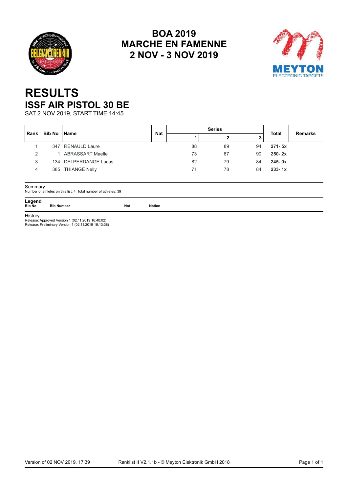<span id="page-2-0"></span>



## **RESULTS ISSF AIR PISTOL 30 BE**

SAT 2 NOV 2019, START TIME 14:45

| Rank | Bib No | <b>Name</b>             | <b>Nat</b> |    | <b>Series</b> |    | <b>Total</b> | <b>Remarks</b> |
|------|--------|-------------------------|------------|----|---------------|----|--------------|----------------|
|      |        |                         |            |    |               |    |              |                |
|      |        | 347 RENAULD Laure       |            | 88 | 89            | 94 | $271 - 5x$   |                |
| っ    |        | <b>ABRASSART Maelle</b> |            | 73 | 87            | 90 | $250 - 2x$   |                |
| 3    |        | 134 DELPERDANGE Lucas   |            | 82 | 79            | 84 | $245 - 0x$   |                |
| 4    |        | 385 THIANGE Nelly       |            | 71 | 78            | 84 | $233 - 1x$   |                |
|      |        |                         |            |    |               |    |              |                |

Summary Number of athletes on this list: 4; Total number of athletes: 39

Legend<br>Bib No

**Bib No Bib Number Nat Nation**

**History** 

Release: Approved Version 1 (02.11.2019 16:40:02) Release: Preliminary Version 1 (02.11.2019 16:13:38)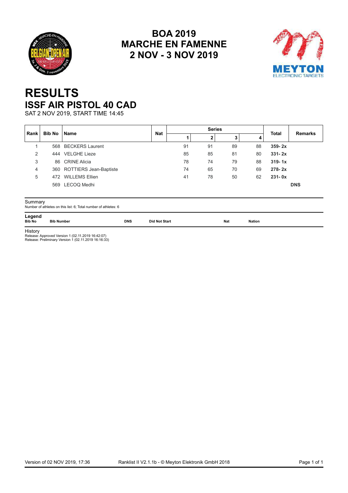<span id="page-3-0"></span>



## **RESULTS ISSF AIR PISTOL 40 CAD**

SAT 2 NOV 2019, START TIME 14:45

| ∣ Rank ∣<br>4<br>٠J<br>568 BECKERS Laurent<br>91<br>91<br>89<br>88<br>$359 - 2x$<br>444 VELGHE Lieze<br>85<br>85<br>81<br>80<br>$331 - 2x$<br>2<br>3<br>74<br>79<br>86 CRINE Alicia<br>$319 - 1x$<br>78<br>88<br>360 ROTTIERS Jean-Baptiste<br>74<br>65<br>70<br>69<br>$278 - 2x$<br>4<br>472 WILLEMS Ellien<br>78<br>50<br>62<br>$231 - 0x$<br>5<br>41 | Bib No | <b>Name</b>     | <b>Nat</b> |  | <b>Series</b> | <b>Total</b> | <b>Remarks</b> |
|---------------------------------------------------------------------------------------------------------------------------------------------------------------------------------------------------------------------------------------------------------------------------------------------------------------------------------------------------------|--------|-----------------|------------|--|---------------|--------------|----------------|
|                                                                                                                                                                                                                                                                                                                                                         |        |                 |            |  |               |              |                |
|                                                                                                                                                                                                                                                                                                                                                         |        |                 |            |  |               |              |                |
|                                                                                                                                                                                                                                                                                                                                                         |        |                 |            |  |               |              |                |
|                                                                                                                                                                                                                                                                                                                                                         |        |                 |            |  |               |              |                |
|                                                                                                                                                                                                                                                                                                                                                         |        |                 |            |  |               |              |                |
|                                                                                                                                                                                                                                                                                                                                                         |        |                 |            |  |               |              |                |
|                                                                                                                                                                                                                                                                                                                                                         |        | 569 LECOQ Medhi |            |  |               |              | <b>DNS</b>     |

Summary Number of athletes on this list: 6; Total number of athletes: 6

**Legend<br>Bib No Bib Number Bib No Bib Number DNS Did Not Start Nat Nation**

History Release: Approved Version 1 (02.11.2019 16:42:07) Release: Preliminary Version 1 (02.11.2019 16:16:33)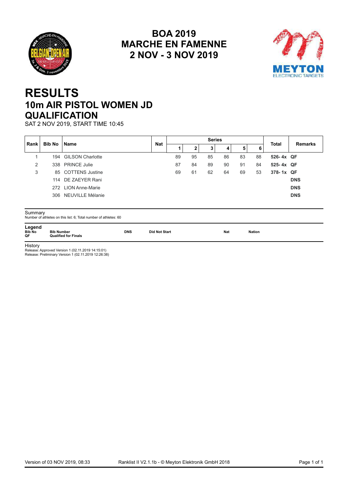<span id="page-4-0"></span>



## **RESULTS 10m AIR PISTOL WOMEN JD QUALIFICATION**

SAT 2 NOV 2019, START TIME 10:45

| <b>Bib No</b><br><b>Rank</b> | <b>Name</b> | <b>Nat</b>           |  |    |    | <b>Series</b> |    |    | <b>Total</b> | <b>Remarks</b> |            |
|------------------------------|-------------|----------------------|--|----|----|---------------|----|----|--------------|----------------|------------|
|                              |             |                      |  |    |    | 3             |    | 5  | 6            |                |            |
|                              |             | 194 GILSON Charlotte |  | 89 | 95 | 85            | 86 | 83 | 88           | 526-4x QF      |            |
| 2                            |             | 338 PRINCE Julie     |  | 87 | 84 | 89            | 90 | 91 | 84           | 525-4x QF      |            |
| 3                            |             | 85 COTTENS Justine   |  | 69 | 61 | 62            | 64 | 69 | 53           | 378-1x QF      |            |
|                              |             | 114 DE ZAEYER Rani   |  |    |    |               |    |    |              |                | <b>DNS</b> |
|                              |             | 272 LION Anne-Marie  |  |    |    |               |    |    |              |                | <b>DNS</b> |
|                              |             | 306 NEUVILLE Mélanie |  |    |    |               |    |    |              |                | <b>DNS</b> |
|                              |             |                      |  |    |    |               |    |    |              |                |            |

Summary Number of athletes on this list: 6; Total number of athletes: 60

**Legend<br>Bib No<br>QF** 

**Bib No Bib Number DNS Did Not Start Nat Nation QF Qualified for Finals**

History Release: Approved Version 1 (02.11.2019 14:15:01) Release: Preliminary Version 1 (02.11.2019 12:26:38)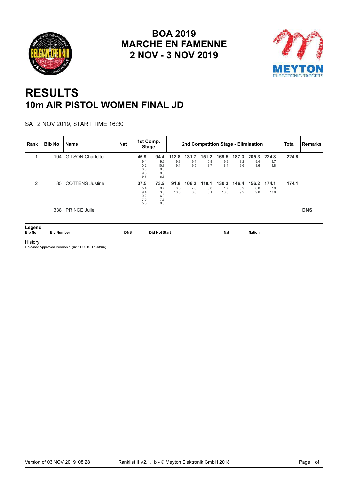<span id="page-5-0"></span>



## **RESULTS 10m AIR PISTOL WOMEN FINAL JD**

SAT 2 NOV 2019, START TIME 16:30

| Rank                    | <b>Bib No</b>     | <b>Name</b>             | <b>Nat</b> | 1st Comp.<br><b>Stage</b>                |                                          |                     | 2nd Competition Stage - Elimination |                      |                      |                     |                     |                      | <b>Total</b> | <b>Remarks</b> |
|-------------------------|-------------------|-------------------------|------------|------------------------------------------|------------------------------------------|---------------------|-------------------------------------|----------------------|----------------------|---------------------|---------------------|----------------------|--------------|----------------|
|                         | 194               | <b>GILSON Charlotte</b> |            | 46.9<br>9.4<br>10.2<br>8.0<br>9.6<br>9.7 | 94.4<br>9.6<br>10.8<br>9.3<br>9.0<br>8.8 | 112.8<br>9.3<br>9.1 | 131.7<br>9.4<br>9.5                 | 151.2<br>10.8<br>8.7 | 169.5<br>9.9<br>8.4  | 187.3<br>8.2<br>9.6 | 205.3<br>9.4<br>8.6 | 224.8<br>9.7<br>9.8  | 224.8        |                |
| 2                       | 85                | <b>COTTENS Justine</b>  |            | 37.5<br>5.4<br>9.4<br>10.2<br>7.0<br>5.5 | 73.5<br>9.7<br>3.8<br>6.2<br>7.3<br>9.0  | 91.8<br>8.3<br>10.0 | 106.2<br>7.6<br>6.8                 | 118.1<br>5.8<br>6.1  | 130.3<br>1.7<br>10.5 | 146.4<br>6.9<br>9.2 | 156.2<br>0.0<br>9.8 | 174.1<br>7.9<br>10.0 | 174.1        |                |
|                         | 338               | <b>PRINCE Julie</b>     |            |                                          |                                          |                     |                                     |                      |                      |                     |                     |                      |              | <b>DNS</b>     |
| Legend<br><b>Bib No</b> | <b>Bib Number</b> |                         | <b>DNS</b> |                                          | <b>Did Not Start</b>                     |                     |                                     |                      | <b>Nat</b>           |                     | <b>Nation</b>       |                      |              |                |

History Release: Approved Version 1 (02.11.2019 17:43:06)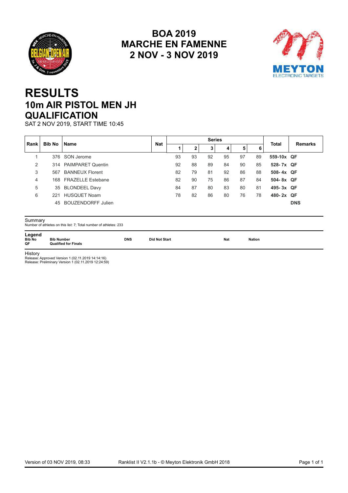<span id="page-6-0"></span>



## **RESULTS 10m AIR PISTOL MEN JH QUALIFICATION**

SAT 2 NOV 2019, START TIME 10:45

| <b>Bib No</b><br>∣ Rank ∣<br>2<br>3<br>4 | <b>Name</b><br>376 SON Jerome<br>314 PAIMPARET Quentin<br>567 BANNEUX Florent | <b>Nat</b><br>93<br>92 | 93<br>88 | 3<br>92 | 4<br>95 | 5<br>97 | 6<br>89 | Total<br>559-10x QF | <b>Remarks</b> |
|------------------------------------------|-------------------------------------------------------------------------------|------------------------|----------|---------|---------|---------|---------|---------------------|----------------|
|                                          |                                                                               |                        |          |         |         |         |         |                     |                |
|                                          |                                                                               |                        |          |         |         |         |         |                     |                |
|                                          |                                                                               |                        |          | 89      | 84      | 90      | 85      | 528-7x QF           |                |
|                                          |                                                                               | 82                     | 79       | 81      | 92      | 86      | 88      | 508-4x QF           |                |
|                                          | 168 FRAZELLE Estebane                                                         | 82                     | 90       | 75      | 86      | 87      | 84      | 504-8x QF           |                |
| 5                                        | 35 BLONDEEL Davy                                                              | 84                     | 87       | 80      | 83      | 80      | 81      | 495-3x QF           |                |
| 6                                        | 221 HUSQUET Noam                                                              | 78                     | 82       | 86      | 80      | 76      | 78      | 480-2x QF           |                |
|                                          | 45 BOUZENDORFF Julien                                                         |                        |          |         |         |         |         |                     | <b>DNS</b>     |

**Legend<br>Bib No<br>QF Bib No Bib Number DNS Did Not Start Nat Nation QF Qualified for Finals**

History

Release: Approved Version 1 (02.11.2019 14:14:16) Release: Preliminary Version 1 (02.11.2019 12:24:59)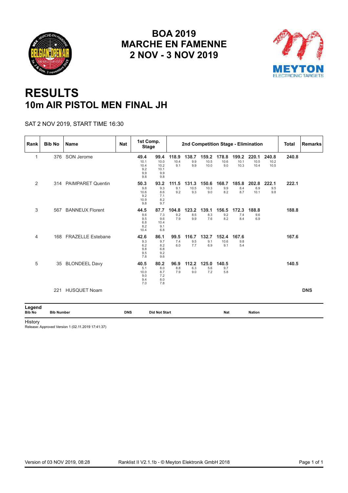<span id="page-7-0"></span>



## **RESULTS 10m AIR PISTOL MEN FINAL JH**

#### SAT 2 NOV 2019, START TIME 16:30

| Rank                    | <b>Bib No</b>     | <b>Name</b>              | <b>Nat</b> | 1st Comp.<br><b>Stage</b>                 |                                            |                      |                      | 2nd Competition Stage - Elimination |                      |                       |                       |                       | <b>Total</b> | Remarks    |
|-------------------------|-------------------|--------------------------|------------|-------------------------------------------|--------------------------------------------|----------------------|----------------------|-------------------------------------|----------------------|-----------------------|-----------------------|-----------------------|--------------|------------|
| 1                       |                   | 376 SON Jerome           |            | 49.4<br>10.1<br>10.4<br>9.2<br>9.9<br>9.8 | 99.4<br>10.0<br>10.2<br>10.1<br>9.9<br>9.8 | 118.9<br>10.4<br>9.1 | 138.7<br>9.9<br>9.9  | 159.2<br>10.5<br>10.0               | 178.8<br>10.6<br>9.0 | 199.2<br>10.1<br>10.3 | 220.1<br>10.5<br>10.4 | 240.8<br>10.2<br>10.5 | 240.8        |            |
| 2                       |                   | 314 PAIMPARET Quentin    |            | 50.3<br>9.8<br>10.6<br>9.2<br>10.9<br>9.8 | 93.2<br>9.3<br>8.6<br>7.1<br>8.2<br>9.7    | 111.5<br>9.1<br>9.2  | 131.3<br>10.5<br>9.3 | 150.6<br>10.3<br>9.0                | 168.7<br>9.9<br>8.2  | 185.8<br>8.4<br>8.7   | 202.8<br>6.9<br>10.1  | 222.1<br>9.5<br>9.8   | 222.1        |            |
| 3                       | 567               | <b>BANNEUX Florent</b>   |            | 44.5<br>9.6<br>9.5<br>6.8<br>8.2<br>10.4  | 87.7<br>7.3<br>9.6<br>10.4<br>9.1<br>6.8   | 104.8<br>9.2<br>7.9  | 123.2<br>8.5<br>9.9  | 139.1<br>8.3<br>7.6                 | 156.5<br>9.2<br>8.2  | 172.3<br>7.4<br>8.4   | 188.8<br>9.6<br>6.9   |                       | 188.8        |            |
| $\overline{4}$          | 168               | <b>FRAZELLE Estebane</b> |            | 42.6<br>9.3<br>6.2<br>9.8<br>9.5<br>7.8   | 86.1<br>9.7<br>8.2<br>6.8<br>9.2<br>9.6    | 99.5<br>7.4<br>6.0   | 116.7<br>9.5<br>7.7  | 132.7<br>9.1<br>6.9                 | 152.4<br>10.6<br>9.1 | 167.6<br>9.8<br>5.4   |                       |                       | 167.6        |            |
| 5                       | 35                | <b>BLONDEEL Davy</b>     |            | 40.5<br>5.1<br>10.0<br>9.0<br>9.4<br>7.0  | 80.2<br>8.0<br>8.7<br>7.2<br>8.0<br>7.8    | 96.9<br>8.8<br>7.9   | 112.2<br>6.3<br>9.0  | 125.0<br>5.6<br>7.2                 | 140.5<br>9.7<br>5.8  |                       |                       |                       | 140.5        |            |
|                         | 221               | <b>HUSQUET Noam</b>      |            |                                           |                                            |                      |                      |                                     |                      |                       |                       |                       |              | <b>DNS</b> |
| Legend<br><b>Bib No</b> | <b>Bib Number</b> |                          | <b>DNS</b> |                                           | <b>Did Not Start</b>                       |                      |                      |                                     | Nat                  |                       | <b>Nation</b>         |                       |              |            |

History

Release: Approved Version 1 (02.11.2019 17:41:37)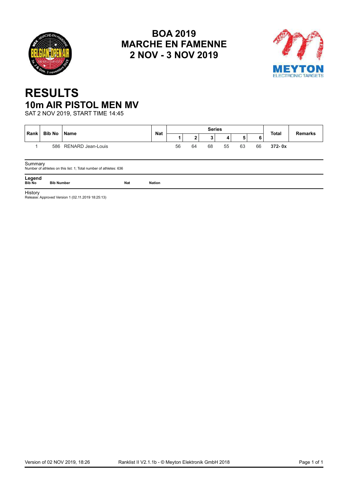<span id="page-8-0"></span>



## **RESULTS 10m AIR PISTOL MEN MV**

SAT 2 NOV 2019, START TIME 14:45

| Rank | Bib No   Name |                       | <b>Nat</b> |    |                    | <b>Series</b> |    |        |    | <b>Total</b> | <b>Remarks</b> |
|------|---------------|-----------------------|------------|----|--------------------|---------------|----|--------|----|--------------|----------------|
|      |               |                       |            |    | $\mathbf{\hat{a}}$ |               |    | к<br>J | 6  |              |                |
|      |               | 586 RENARD Jean-Louis |            | 56 | 64                 | 68            | 55 | 63     | 66 | $372 - 0x$   |                |
|      |               |                       |            |    |                    |               |    |        |    |              |                |

Summary Number of athletes on this list: 1; Total number of athletes: 636

**Legend Bib No Bib Number Nat Nation**

**History** 

Release: Approved Version 1 (02.11.2019 18:25:13)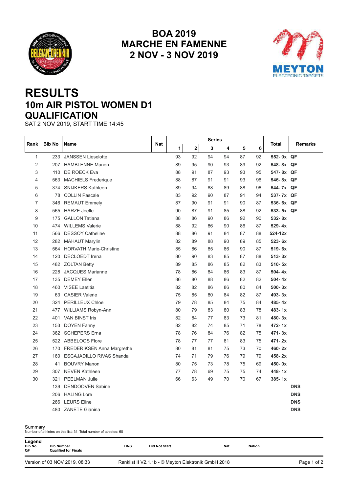<span id="page-9-0"></span>



## **RESULTS 10m AIR PISTOL WOMEN D1 QUALIFICATION**

SAT 2 NOV 2019, START TIME 14:45

|                |               |                                 |     |    |             | <b>Series</b> |    |    |    |            |                |
|----------------|---------------|---------------------------------|-----|----|-------------|---------------|----|----|----|------------|----------------|
| Rank           | <b>Bib No</b> | Name                            | Nat | 1  | $\mathbf 2$ | 3             | 4  | 5  | 6  | Total      | <b>Remarks</b> |
| $\mathbf{1}$   | 233           | <b>JANSSEN Lieselotte</b>       |     | 93 | 92          | 94            | 94 | 87 | 92 | 552-9x QF  |                |
| 2              | 207           | <b>HAMBLENNE Manon</b>          |     | 89 | 95          | 90            | 93 | 89 | 92 | 548-8x QF  |                |
| 3              | 110           | DE ROECK Eva                    |     | 88 | 91          | 87            | 93 | 93 | 95 | 547-8x QF  |                |
| 4              | 563           | <b>MACHIELS Frederique</b>      |     | 88 | 87          | 91            | 91 | 93 | 96 | 546-8x QF  |                |
| 5              |               | 374 SNIJKERS Kathleen           |     | 89 | 94          | 88            | 89 | 88 | 96 | 544-7x QF  |                |
| 6              | 78            | <b>COLLIN Pascale</b>           |     | 83 | 92          | 90            | 87 | 91 | 94 | 537-7x QF  |                |
| $\overline{7}$ | 346           | <b>REMAUT Emmely</b>            |     | 87 | 90          | 91            | 91 | 90 | 87 | 536-6x QF  |                |
| 8              | 565           | <b>HARZE Joelle</b>             |     | 90 | 87          | 91            | 85 | 88 | 92 | 533-5x QF  |                |
| 9              | 175           | <b>GALLON Tatiana</b>           |     | 88 | 86          | 90            | 86 | 92 | 90 | $532 - 8x$ |                |
| 10             | 474           | <b>WILLEMS Valerie</b>          |     | 88 | 92          | 86            | 90 | 86 | 87 | $529 - 4x$ |                |
| 11             | 566           | <b>DESSOY Catheline</b>         |     | 88 | 86          | 91            | 84 | 87 | 88 | 524-12x    |                |
| 12             | 282           | <b>MAHAUT Marylin</b>           |     | 82 | 89          | 88            | 90 | 89 | 85 | 523-6x     |                |
| 13             | 564           | <b>HORVATH Marie-Christine</b>  |     | 85 | 86          | 85            | 86 | 90 | 87 | 519-6x     |                |
| 14             | 120           | <b>DECLOEDT</b> Irena           |     | 80 | 90          | 83            | 85 | 87 | 88 | $513 - 3x$ |                |
| 15             |               | 482 ZOLTAN Betty                |     | 89 | 85          | 86            | 85 | 82 | 83 | $510 - 5x$ |                |
| 16             | 228           | <b>JACQUES Marianne</b>         |     | 78 | 86          | 84            | 86 | 83 | 87 | $504 - 4x$ |                |
| 17             | 135           | <b>DEMEY Ellen</b>              |     | 86 | 80          | 88            | 86 | 82 | 82 | $504 - 4x$ |                |
| 18             |               | 460 VISEE Laetitia              |     | 82 | 82          | 86            | 86 | 80 | 84 | $500 - 3x$ |                |
| 19             | 63            | <b>CASIER Valerie</b>           |     | 75 | 85          | 80            | 84 | 82 | 87 | 493-3x     |                |
| 20             | 324           | <b>PERILLEUX Chloe</b>          |     | 79 | 78          | 85            | 84 | 75 | 84 | 485-4x     |                |
| 21             | 477           | <b>WILLIAMS Robyn-Ann</b>       |     | 80 | 79          | 83            | 80 | 83 | 78 | $483 - 1x$ |                |
| 22             | 401           | <b>VAN BINST Iris</b>           |     | 82 | 84          | 77            | 83 | 73 | 81 | $480 - 3x$ |                |
| 23             | 153           | <b>DOYEN Fanny</b>              |     | 82 | 82          | 74            | 85 | 71 | 78 | 472-1x     |                |
| 24             | 362           | <b>SCHEPERS Erna</b>            |     | 78 | 76          | 84            | 76 | 82 | 75 | 471-3x     |                |
| 25             |               | 522 ABBELOOS Flore              |     | 78 | 77          | 77            | 81 | 83 | 75 | $471 - 2x$ |                |
| 26             |               | 170 FREDERIKSEN Anna Margrethe  |     | 80 | 81          | 81            | 75 | 73 | 70 | 460-2x     |                |
| 27             | 160           | <b>ESCAJADILLO RIVAS Shanda</b> |     | 74 | 71          | 79            | 76 | 79 | 79 | 458-2x     |                |
| 28             | 41            | <b>BOUVRY Manon</b>             |     | 80 | 75          | 73            | 78 | 75 | 69 | $450 - 0x$ |                |
| 29             |               | 307 NEVEN Kathleen              |     | 77 | 78          | 69            | 75 | 75 | 74 | 448-1x     |                |
| 30             | 321           | <b>PEELMAN Julie</b>            |     | 66 | 63          | 49            | 70 | 70 | 67 | $385 - 1x$ |                |
|                | 139           | <b>DENDOOVEN Sabine</b>         |     |    |             |               |    |    |    |            | <b>DNS</b>     |
|                |               | 206 HALING Lore                 |     |    |             |               |    |    |    |            | <b>DNS</b>     |
|                | 266           | <b>LEURS Eline</b>              |     |    |             |               |    |    |    |            | <b>DNS</b>     |
|                |               | 480 ZANETE Gianina              |     |    |             |               |    |    |    |            | <b>DNS</b>     |

| Legend<br><b>Bib No</b><br>QF | <b>Bib Number</b><br><b>Qualified for Finals</b> | <b>DNS</b> | <b>Did Not Start</b>                                | <b>Nat</b> | <b>Nation</b> |             |
|-------------------------------|--------------------------------------------------|------------|-----------------------------------------------------|------------|---------------|-------------|
|                               | Version of 03 NOV 2019, 08:33                    |            | Ranklist II V2.1.1b - © Meyton Elektronik GmbH 2018 |            |               | Page 1 of 2 |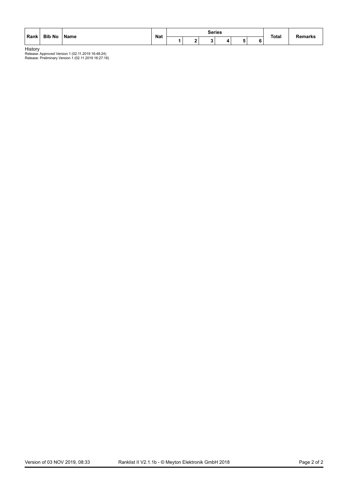| Rank | <b>Bib No</b> | l Name | <b>Nat</b> |  | Series |  | <b>Total</b> | Remarks |  |
|------|---------------|--------|------------|--|--------|--|--------------|---------|--|
|      |               |        |            |  |        |  |              |         |  |

**History**<br>Release: Approved Version 1 (02.11.2019 16:48:24)<br>Release: Preliminary Version 1 (02.11.2019 16:27:18)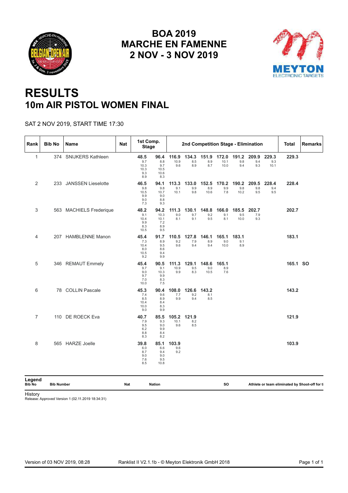<span id="page-11-0"></span>



## **RESULTS 10m AIR PISTOL WOMEN FINAL**

#### SAT 2 NOV 2019, START TIME 17:30

| Rank                    | <b>Bib No</b>     | Name                    | Nat | 1st Comp.<br><b>Stage</b>                 |                                           |                      | 2nd Competition Stage - Elimination |                      |                       |                      |                     |                      | Total    | <b>Remarks</b>                                |
|-------------------------|-------------------|-------------------------|-----|-------------------------------------------|-------------------------------------------|----------------------|-------------------------------------|----------------------|-----------------------|----------------------|---------------------|----------------------|----------|-----------------------------------------------|
| $\mathbf{1}$            |                   | 374 SNIJKERS Kathleen   |     | 48.5<br>9.7<br>10.3<br>10.3<br>9.3<br>8.9 | 96.4<br>8.8<br>9.7<br>10.5<br>10.6<br>8.3 | 116.9<br>10.9<br>9.6 | 134.3<br>8.5<br>8.9                 | 151.9<br>8.9<br>8.7  | 172.0<br>10.1<br>10.0 | 191.2<br>9.8<br>9.4  | 209.9<br>9.4<br>9.3 | 229.3<br>9.3<br>10.1 | 229.3    |                                               |
| 2                       |                   | 233 JANSSEN Lieselotte  |     | 46.5<br>9.8<br>10.5<br>9.9<br>9.0<br>7.3  | 94.1<br>9.8<br>10.7<br>9.0<br>8.8<br>9.3  | 113.3<br>9.1<br>10.1 | 133.0<br>9.9<br>9.8                 | 152.5<br>8.9<br>10.6 | 170.2<br>9.9<br>7.8   | 190.2<br>9.8<br>10.2 | 209.5<br>9.8<br>9.5 | 228.4<br>9.4<br>9.5  | 228.4    |                                               |
| 3                       |                   | 563 MACHIELS Frederique |     | 48.2<br>9.1<br>10.4<br>9.9<br>8.3<br>10.5 | 94.2<br>10.3<br>10.1<br>7.2<br>8.9<br>9.5 | 111.3<br>9.0<br>8.1  | 130.1<br>9.7<br>9.1                 | 148.8<br>9.2<br>9.5  | 166.0<br>9.1<br>8.1   | 185.5<br>9.5<br>10.0 | 202.7<br>7.9<br>9.3 |                      | 202.7    |                                               |
| 4                       |                   | 207 HAMBLENNE Manon     |     | 45.4<br>7.3<br>10.4<br>8.0<br>10.5<br>9.2 | 91.7<br>8.9<br>9.5<br>8.6<br>9.4<br>9.9   | 110.5<br>9.2<br>9.6  | 127.8<br>7.9<br>9.4                 | 146.1<br>8.9<br>9.4  | 165.1<br>9.0<br>10.0  | 183.1<br>9.1<br>8.9  |                     |                      | 183.1    |                                               |
| 5                       |                   | 346 REMAUT Emmely       |     | 45.4<br>9.7<br>9.0<br>9.7<br>7.0<br>10.0  | 90.5<br>9.1<br>10.3<br>9.9<br>8.3<br>7.5  | 111.3<br>10.9<br>9.9 | 129.1<br>9.5<br>8.3                 | 148.6<br>9.0<br>10.5 | 165.1<br>8.9<br>7.6   |                      |                     |                      | 165.1 SO |                                               |
| 6                       |                   | 78 COLLIN Pascale       |     | 45.3<br>7.4<br>8.5<br>10.4<br>10.0<br>9.0 | 90.4<br>9.6<br>8.9<br>8.4<br>8.3<br>9.9   | 108.0<br>7.7<br>9.9  | 126.6<br>9.2<br>9.4                 | 143.2<br>8.1<br>8.5  |                       |                      |                     |                      | 143.2    |                                               |
| $\overline{7}$          |                   | 110 DE ROECK Eva        |     | 40.7<br>7.9<br>9.5<br>6.2<br>8.8<br>8.3   | 85.5<br>9.3<br>9.0<br>9.9<br>8.4<br>8.2   | 105.2<br>10.1<br>9.6 | 121.9<br>8.2<br>8.5                 |                      |                       |                      |                     |                      | 121.9    |                                               |
| 8                       |                   | 565 HARZE Joelle        |     | 39.8<br>6.0<br>8.7<br>9.0<br>7.6<br>8.5   | 85.1<br>6.6<br>9.4<br>9.0<br>9.5<br>10.8  | 103.9<br>9.6<br>9.2  |                                     |                      |                       |                      |                     |                      | 103.9    |                                               |
| Legend<br><b>Bib No</b> | <b>Bib Number</b> |                         | Nat |                                           | <b>Nation</b>                             |                      |                                     |                      | so                    |                      |                     |                      |          | Athlete or team eliminated by Shoot-off for t |

History

Release: Approved Version 1 (02.11.2019 18:34:31)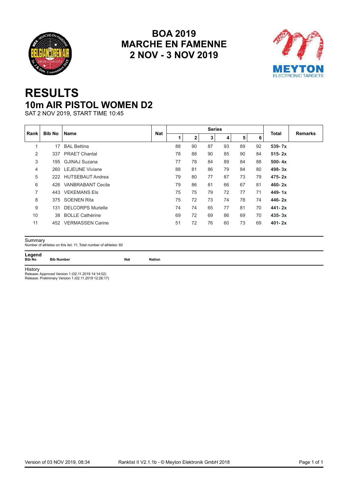<span id="page-12-0"></span>



## **RESULTS 10m AIR PISTOL WOMEN D2**

SAT 2 NOV 2019, START TIME 10:45

| ∣ Rank l       | <b>Bib No</b> | <b>Name</b>              | <b>Nat</b> |    |    | <b>Series</b> |    |    |    | <b>Total</b> | <b>Remarks</b> |
|----------------|---------------|--------------------------|------------|----|----|---------------|----|----|----|--------------|----------------|
|                |               |                          |            | 1  | 2  | 3             | 4  | 5  | 6  |              |                |
| 1              | 17            | <b>BAL Bettina</b>       |            | 88 | 90 | 87            | 93 | 89 | 92 | $539 - 7x$   |                |
| 2              | 337           | <b>PRAET Chantal</b>     |            | 78 | 88 | 90            | 85 | 90 | 84 | $515 - 2x$   |                |
| 3              | 195           | GJINAJ Suzana            |            | 77 | 78 | 84            | 89 | 84 | 88 | $500 - 4x$   |                |
| 4              |               | 260 LEJEUNE Viviane      |            | 88 | 81 | 86            | 79 | 84 | 80 | $498 - 3x$   |                |
| 5              |               | 222 HUTSEBAUT Andrea     |            | 79 | 80 | 77            | 87 | 73 | 79 | $475 - 2x$   |                |
| 6              | 426           | <b>VANBRABANT Cecile</b> |            | 79 | 86 | 81            | 66 | 67 | 81 | $460 - 2x$   |                |
| $\overline{7}$ |               | 443 VEKEMANS Els         |            | 75 | 75 | 79            | 72 | 77 | 71 | $449 - 1x$   |                |
| 8              |               | 375 SOENEN Rita          |            | 75 | 72 | 73            | 74 | 78 | 74 | $446 - 2x$   |                |
| 9              | 131           | <b>DELCORPS Murielle</b> |            | 74 | 74 | 65            | 77 | 81 | 70 | $441 - 2x$   |                |
| 10             | 38            | <b>BOLLE Cathérine</b>   |            | 69 | 72 | 69            | 86 | 69 | 70 | $435 - 3x$   |                |
| 11             | 452           | <b>VERMASSEN Carine</b>  |            | 51 | 72 | 76            | 60 | 73 | 69 | $401 - 2x$   |                |

Summary Number of athletes on this list: 11; Total number of athletes: 60

**Legend**

**Bib No Bib Number Nat Nation**

History

Release: Approved Version 1 (02.11.2019 14:14:02) Release: Preliminary Version 1 (02.11.2019 12:26:17)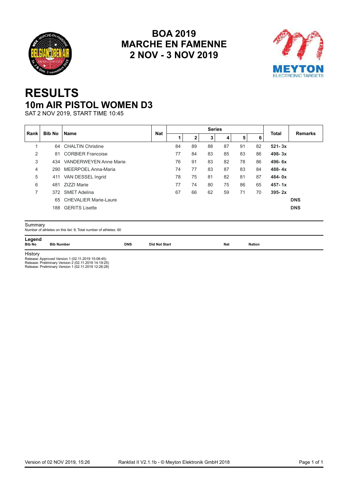<span id="page-13-0"></span>



## **RESULTS 10m AIR PISTOL WOMEN D3**

SAT 2 NOV 2019, START TIME 10:45

| ∣Rank l<br>2<br>3<br>4 | Bib No<br>81 | <b>Name</b><br>64 CHALTIN Christine<br><b>CORBIER Francoise</b> | <b>Nat</b> | 84 | 2<br>89 | 3  | 4  | 5  | 6  | <b>Total</b> | <b>Remarks</b> |
|------------------------|--------------|-----------------------------------------------------------------|------------|----|---------|----|----|----|----|--------------|----------------|
|                        |              |                                                                 |            |    |         |    |    |    |    |              |                |
|                        |              |                                                                 |            |    |         | 88 | 87 | 91 | 82 | $521 - 3x$   |                |
|                        |              |                                                                 |            | 77 | 84      | 83 | 85 | 83 | 86 | $498 - 3x$   |                |
|                        |              | 434 VANDERWEYEN Anne Marie                                      |            | 76 | 91      | 83 | 82 | 78 | 86 | $496 - 6x$   |                |
|                        |              | 290 MEERPOEL Anna-Maria                                         |            | 74 | 77      | 83 | 87 | 83 | 84 | $488 - 4x$   |                |
| 5                      |              | 411 VAN DESSEL Ingrid                                           |            | 78 | 75      | 81 | 82 | 81 | 87 | $484 - 0x$   |                |
| 6                      | 481          | ZIZZI Marie                                                     |            | 77 | 74      | 80 | 75 | 86 | 65 | $457 - 1x$   |                |
| $\overline{7}$         |              | 372 SMET Adelina                                                |            | 67 | 66      | 62 | 59 | 71 | 70 | $395 - 2x$   |                |
|                        |              | 65 CHEVALIER Marie-Laure                                        |            |    |         |    |    |    |    |              | <b>DNS</b>     |
|                        |              | 188 GERITS Lisette                                              |            |    |         |    |    |    |    |              | <b>DNS</b>     |

**Legend<br>Bib No Bib Number Bib No Bib Number DNS Did Not Start Nat Nation**

**History** 

Release: Approved Version 1 (02.11.2019 15:08:45) Release: Preliminary Version 2 (02.11.2019 14:19:25) Release: Preliminary Version 1 (02.11.2019 12:26:28)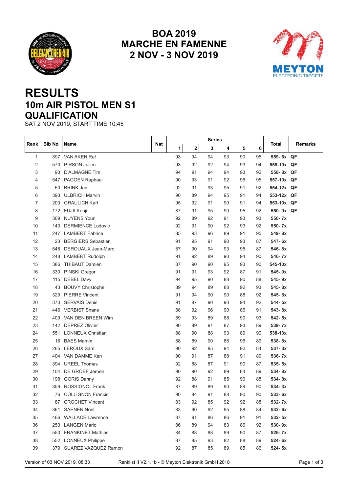<span id="page-14-0"></span>



## **RESULTS 10m AIR PISTOL MEN S1 QUALIFICATION**

SAT 2 NOV 2019, START TIME 10:45

| Rank         | <b>Bib No</b> | Name                                                                                 | Nat |    |              | Series |    |    |    | Total       | Remarks     |
|--------------|---------------|--------------------------------------------------------------------------------------|-----|----|--------------|--------|----|----|----|-------------|-------------|
|              |               |                                                                                      |     | 1  | $\mathbf{2}$ | 3      | 4  | 5  | 6  |             |             |
| $\mathbf{1}$ |               | 397 VAN AKEN Raf                                                                     |     | 93 | 94           | 94     | 93 | 90 | 95 | 559-6x QF   |             |
| 2            |               | 570 PIRSON Julien                                                                    |     | 93 | 92           | 92     | 94 | 93 | 94 | 558-10x QF  |             |
| 3            | 93            | <b>D'ALMAGNE Tim</b>                                                                 |     | 94 | 91           | 94     | 94 | 93 | 92 | 558-8x QF   |             |
| 4            | 547           | PAGGEN Raphael                                                                       |     | 90 | 93           | 91     | 92 | 96 | 95 | 557-10x QF  |             |
| 5            |               | 50 BRINK Jan                                                                         |     | 92 | 91           | 93     | 95 | 91 | 92 | 554-12x QF  |             |
| 6            |               | 393 ULBRICH Marvin                                                                   |     | 90 | 89           | 94     | 95 | 91 | 94 | 553-12x QF  |             |
| 7            | 200           | <b>GRAULICH Karl</b>                                                                 |     | 95 | 92           | 91     | 90 | 91 | 94 | 553-10x QF  |             |
| 8            |               | 172 FUJII Kenji                                                                      |     | 87 | 91           | 95     | 90 | 95 | 92 | 550-9x QF   |             |
| 9            | 309           | <b>NUYENS Youri</b>                                                                  |     | 92 | 89           | 92     | 91 | 93 | 93 | 550-7x      |             |
| 10           |               | 143 DERMIENCE Ludovic                                                                |     | 92 | 91           | 90     | 92 | 93 | 92 | 550-7x      |             |
| 11           |               | 247 LAMBERT Fabrice                                                                  |     | 85 | 93           | 96     | 89 | 91 | 95 | 549-8x      |             |
| 12           | 23            | <b>BERGIERS Sebastien</b>                                                            |     | 91 | 95           | 91     | 90 | 93 | 87 | 547-6x      |             |
| 13           |               | 548 DEROUAUX Jean-Marc                                                               |     | 87 | 90           | 94     | 93 | 95 | 87 | 546-8x      |             |
| 14           | 248           | <b>LAMBERT Rudolph</b>                                                               |     | 91 | 92           | 89     | 90 | 94 | 90 | 546-7x      |             |
| 15           | 386           | <b>THIBAUT Damien</b>                                                                |     | 87 | 90           | 90     | 95 | 93 | 90 | 545-10x     |             |
| 16           | 330           | PINSKI Gregor                                                                        |     | 91 | 91           | 93     | 92 | 87 | 91 | $545 - 9x$  |             |
| 17           | 115           | <b>DEBEL Davy</b>                                                                    |     | 94 | 95           | 90     | 88 | 90 | 88 | $545 - 9x$  |             |
| 18           | 43            | <b>BOUVY Christophe</b>                                                              |     | 89 | 94           | 89     | 88 | 92 | 93 | 545-8x      |             |
| 19           |               | 329 PIERRE Vincent                                                                   |     | 91 | 94           | 90     | 90 | 88 | 92 | 545-8x      |             |
| 20           | 370           | <b>SERVAIS Denis</b>                                                                 |     | 91 | 87           | 90     | 90 | 94 | 92 | 544-5x      |             |
| 21           |               | 446 VERBIST Shane                                                                    |     | 88 | 92           | 96     | 90 | 86 | 91 | $543 - 8x$  |             |
| 22           | 409           | VAN DEN BREEN Wim                                                                    |     | 89 | 93           | 89     | 88 | 90 | 93 | $542 - 5x$  |             |
| 23           |               | 142 DEPREZ Olivier                                                                   |     | 90 | 89           | 91     | 87 | 93 | 89 | 539-7x      |             |
| 24           | 551           | <b>LONNEUX Christian</b>                                                             |     | 88 | 90           | 88     | 93 | 89 | 90 | $538 - 13x$ |             |
| 25           | 16            | <b>BAES Marnix</b>                                                                   |     | 88 | 89           | 90     | 86 | 96 | 89 | 538-8x      |             |
| 26           | 265           | <b>LEROUX Sam</b>                                                                    |     | 90 | 92           | 85     | 94 | 92 | 84 | $537 - 3x$  |             |
| 27           | 404           | VAN DAMME Ken                                                                        |     | 90 | 91           | 87     | 88 | 91 | 89 | $536 - 7x$  |             |
| 28           |               | 394 UREEL Thomas                                                                     |     | 92 | 88           | 87     | 91 | 90 | 87 | $535 - 5x$  |             |
| 29           | 104           | DE GROEF Jeroen                                                                      |     | 90 | 90           | 92     | 89 | 84 | 89 | 534-8x      |             |
| 30           | 198           | <b>GORIS Danny</b>                                                                   |     | 92 | 88           | 91     | 85 | 90 | 88 | $534 - 8x$  |             |
| 31           | 359           | <b>ROSSIGNOL Frank</b>                                                               |     | 87 | 89           | 89     | 90 | 89 | 90 | $534 - 3x$  |             |
| 32           | 76            | <b>COLLIGNON Francis</b>                                                             |     | 90 | 84           | 91     | 88 | 90 | 90 | 533-6x      |             |
| 33           |               | 87 CROCHET Vincent                                                                   |     | 83 | 92           | 85     | 92 | 92 | 88 | 532-7x      |             |
| 34           |               | 361 SAENEN Noel                                                                      |     | 83 | 90           | 92     | 95 | 88 | 84 | 532-6x      |             |
| 35           |               | 466 WALLACE Lawrence                                                                 |     | 87 | 91           | 86     | 86 | 91 | 91 | 532-5x      |             |
| 36           |               | 253 LANGEN Mario                                                                     |     | 86 | 89           | 94     | 83 | 86 | 92 | 530-9x      |             |
| 37           |               | 550 FRANKINET Mathias                                                                |     | 84 | 88           | 88     | 89 | 90 | 87 | 526-7x      |             |
| 38           |               | 552 LONNEUX Philippe                                                                 |     | 87 | 85           | 93     | 82 | 88 | 89 | 524-6x      |             |
| 39           |               | 379 SUAREZ VAZQUEZ Ramon                                                             |     | 92 | 87           | 85     | 89 | 85 | 86 | 524-5x      |             |
|              |               | Version of 03 NOV 2019, 08:33<br>Ranklist II V2.1.1b - © Meyton Elektronik GmbH 2018 |     |    |              |        |    |    |    |             | Page 1 of 3 |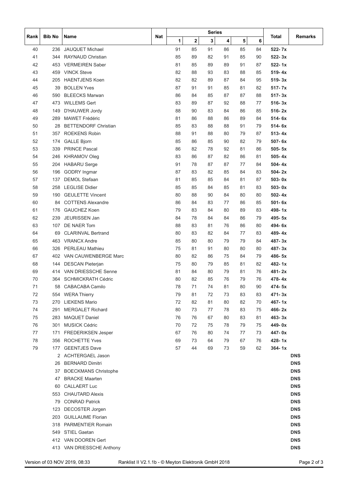| Rank | <b>Bib No</b> | Name                        | Nat |    |             | Series |    |    |    | Total      | Remarks    |
|------|---------------|-----------------------------|-----|----|-------------|--------|----|----|----|------------|------------|
|      |               |                             |     | 1  | $\mathbf 2$ | 3      | 4  | 5  | 6  |            |            |
| 40   | 236           | <b>JAUQUET Michael</b>      |     | 91 | 85          | 91     | 86 | 85 | 84 | $522 - 7x$ |            |
| 41   |               | 344 RAYNAUD Christian       |     | 85 | 89          | 82     | 91 | 85 | 90 | $522 - 3x$ |            |
| 42   |               | 453 VERMEIREN Saber         |     | 81 | 85          | 89     | 89 | 91 | 87 | $522 - 1x$ |            |
| 43   | 459           | <b>VINCK Steve</b>          |     | 82 | 88          | 93     | 83 | 88 | 85 | 519-4x     |            |
| 44   | 205           | <b>HAENTJENS Koen</b>       |     | 82 | 82          | 89     | 87 | 84 | 95 | $519 - 3x$ |            |
| 45   | 39            | <b>BOLLEN Yves</b>          |     | 87 | 91          | 91     | 85 | 81 | 82 | $517 - 7x$ |            |
| 46   | 590           | <b>BLEECKS Marwan</b>       |     | 86 | 84          | 85     | 87 | 87 | 88 | $517 - 3x$ |            |
| 47   |               | 473 WILLEMS Gert            |     | 83 | 89          | 87     | 92 | 88 | 77 | $516 - 3x$ |            |
| 48   | 149           | D'HAUWER Jordy              |     | 88 | 90          | 83     | 84 | 86 | 85 | $516 - 2x$ |            |
| 49   | 289           | MAWET Frédéric              |     | 81 | 86          | 88     | 86 | 89 | 84 | $514 - 6x$ |            |
| 50   | 28            | <b>BETTENDORF Christian</b> |     | 85 | 83          | 88     | 88 | 91 | 79 | $514 - 6x$ |            |
| 51   | 357           | <b>ROEKENS Robin</b>        |     | 88 | 91          | 88     | 80 | 79 | 87 | $513 - 4x$ |            |
| 52   | 174           | <b>GALLE Bjorn</b>          |     | 85 | 86          | 85     | 90 | 82 | 79 | $507 - 6x$ |            |
| 53   | 339           | <b>PRINCE Pascal</b>        |     | 86 | 82          | 78     | 92 | 81 | 86 | $505 - 5x$ |            |
| 54   | 246           | <b>KHRAMOV Oleg</b>         |     | 83 | 86          | 87     | 82 | 86 | 81 | $505 - 4x$ |            |
| 55   | 204           | <b>HABARU</b> Serge         |     | 91 | 78          | 87     | 87 | 77 | 84 | $504 - 4x$ |            |
| 56   | 196           | <b>GODRY</b> Ingmar         |     | 87 | 83          | 82     | 85 | 84 | 83 | $504 - 2x$ |            |
| 57   | 137           | <b>DEMOL Stefaan</b>        |     | 81 | 85          | 85     | 84 | 81 | 87 | $503 - 0x$ |            |
| 58   |               | 258 LEGLISE Didier          |     | 85 | 85          | 84     | 85 | 81 | 83 | $503 - 0x$ |            |
| 59   | 190           | <b>GEULETTE Vincent</b>     |     | 80 | 88          | 90     | 84 | 80 | 80 | $502 - 4x$ |            |
| 60   | 84            | <b>COTTENS Alexandre</b>    |     | 86 |             |        |    |    | 85 | $501 - 6x$ |            |
|      |               |                             |     |    | 84          | 83     | 77 | 86 |    |            |            |
| 61   | 176           | <b>GAUCHEZ Koen</b>         |     | 79 | 83          | 84     | 80 | 89 | 83 | $498 - 1x$ |            |
| 62   | 239           | JEURISSEN Jan               |     | 84 | 78          | 84     | 84 | 86 | 79 | 495-5x     |            |
| 63   | 107           | DE NAER Tom                 |     | 88 | 83          | 81     | 76 | 86 | 80 | 494-6x     |            |
| 64   | 69            | <b>CLARINVAL Bertrand</b>   |     | 80 | 83          | 82     | 84 | 77 | 83 | $489 - 4x$ |            |
| 65   |               | 463 VRANCX Andre            |     | 85 | 80          | 80     | 79 | 79 | 84 | $487 - 3x$ |            |
| 66   | 326           | <b>PERLEAU Mathieu</b>      |     | 75 | 81          | 91     | 80 | 80 | 80 | $487 - 3x$ |            |
| 67   |               | 402 VAN CAUWENBERGE Marc    |     | 80 | 82          | 86     | 75 | 84 | 79 | 486-5x     |            |
| 68   | 144           | <b>DESCAN Pieterjan</b>     |     | 75 | 80          | 79     | 85 | 81 | 82 | 482-1x     |            |
| 69   |               | 414 VAN DRIESSCHE Senne     |     | 81 | 84          | 80     | 79 | 81 | 76 | 481-2x     |            |
| 70   | 364           | <b>SCHMICKRATH Cédric</b>   |     | 80 | 82          | 85     | 76 | 79 | 76 | 478-4x     |            |
| 71   | 58            | <b>CABACABA Camilo</b>      |     | 78 | 71          | 74     | 81 | 80 | 90 | 474-5x     |            |
| 72   |               | 554 WERA Thierry            |     | 79 | 81          | 72     | 73 | 83 | 83 | $471 - 3x$ |            |
| 73   |               | 270 LIEKENS Mario           |     | 72 | 82          | 81     | 80 | 82 | 70 | $467 - 1x$ |            |
| 74   |               | 291 MERGALET Richard        |     | 80 | 73          | 77     | 78 | 83 | 75 | $466 - 2x$ |            |
| 75   |               | 283 MAQUET Daniel           |     | 76 | 76          | 67     | 80 | 83 | 81 | 463-3x     |            |
| 76   | 301           | <b>MUSICK Cédric</b>        |     | 70 | 72          | 75     | 78 | 79 | 75 | 449-0x     |            |
| 77   |               | 171 FREDERIKSEN Jesper      |     | 67 | 76          | 80     | 74 | 77 | 73 | 447-0x     |            |
| 78   |               | 356 ROCHETTE Yves           |     | 69 | 73          | 64     | 79 | 67 | 76 | 428-1x     |            |
| 79   |               | 177 GEENTJES Dave           |     | 57 | 44          | 69     | 73 | 59 | 62 | $364 - 1x$ |            |
|      |               | 2 ACHTERGAEL Jason          |     |    |             |        |    |    |    |            | <b>DNS</b> |
|      |               | 26 BERNARD Dimitri          |     |    |             |        |    |    |    |            | <b>DNS</b> |
|      | 37            | <b>BOECKMANS Christophe</b> |     |    |             |        |    |    |    |            | <b>DNS</b> |
|      |               | 47 BRACKE Maarten           |     |    |             |        |    |    |    |            | <b>DNS</b> |
|      |               | 60 CALLAERT Luc             |     |    |             |        |    |    |    |            | <b>DNS</b> |
|      |               | 553 CHAUTARD Alexis         |     |    |             |        |    |    |    |            | <b>DNS</b> |
|      |               | 79 CONRAD Patrick           |     |    |             |        |    |    |    |            | <b>DNS</b> |
|      |               | 123 DECOSTER Jorgen         |     |    |             |        |    |    |    |            | <b>DNS</b> |
|      |               | 203 GUILLAUME Florian       |     |    |             |        |    |    |    |            | <b>DNS</b> |
|      |               | 318 PARMENTIER Romain       |     |    |             |        |    |    |    |            | <b>DNS</b> |
|      |               | 549 STIEL Gaetan            |     |    |             |        |    |    |    |            | <b>DNS</b> |
|      |               | 412 VAN DOOREN Gert         |     |    |             |        |    |    |    |            | <b>DNS</b> |
|      |               | 413 VAN DRIESSCHE Anthony   |     |    |             |        |    |    |    |            | <b>DNS</b> |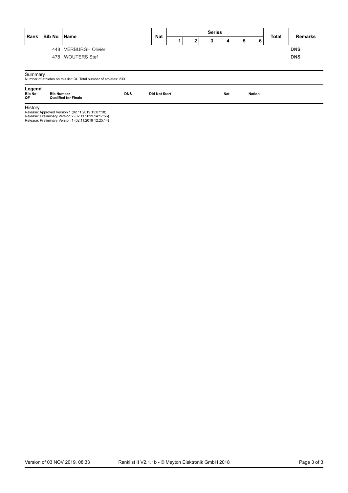|                               | <b>Bib No</b>     | <b>Name</b>                                                        |            | <b>Nat</b>           |  | <b>Series</b> |            |   |        | <b>Total</b> | <b>Remarks</b> |
|-------------------------------|-------------------|--------------------------------------------------------------------|------------|----------------------|--|---------------|------------|---|--------|--------------|----------------|
| Rank                          |                   |                                                                    |            |                      |  | $3^{\circ}$   | 4          | 5 | 6      |              |                |
|                               |                   | 448 VERBURGH Olivier                                               |            |                      |  |               |            |   |        |              | <b>DNS</b>     |
|                               |                   | 478 WOUTERS Stef                                                   |            |                      |  |               |            |   |        |              | <b>DNS</b>     |
|                               |                   |                                                                    |            |                      |  |               |            |   |        |              |                |
|                               |                   |                                                                    |            |                      |  |               |            |   |        |              |                |
| Summary                       |                   |                                                                    |            |                      |  |               |            |   |        |              |                |
|                               |                   | Number of athletes on this list: 94; Total number of athletes: 233 |            |                      |  |               |            |   |        |              |                |
| Legend<br><b>Bib No</b><br>QF | <b>Bib Number</b> | <b>Qualified for Finals</b>                                        | <b>DNS</b> | <b>Did Not Start</b> |  |               | <b>Nat</b> |   | Nation |              |                |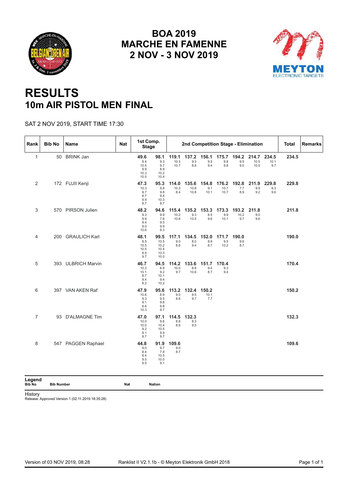<span id="page-17-0"></span>



## **RESULTS 10m AIR PISTOL MEN FINAL**

#### SAT 2 NOV 2019, START TIME 17:30

| Rank                    | <b>Bib No</b>     | Name               | <b>Nat</b> | 1st Comp.<br><b>Stage</b>                  |                                              |                       | 2nd Competition Stage - Elimination |                      |                       |                      |                       |                      | <b>Total</b> | Remarks |
|-------------------------|-------------------|--------------------|------------|--------------------------------------------|----------------------------------------------|-----------------------|-------------------------------------|----------------------|-----------------------|----------------------|-----------------------|----------------------|--------------|---------|
| $\mathbf{1}$            |                   | 50 BRINK Jan       |            | 49.6<br>8.4<br>10.5<br>9.9<br>10.3<br>10.5 | 98.1<br>9.3<br>9.7<br>8.9<br>10.2<br>10.4    | 119.1<br>10.3<br>10.7 | 137.2<br>9.3<br>8.8                 | 156.1<br>9.5<br>9.4  | 175.7<br>9.8<br>9.8   | 194.2<br>9.5<br>9.0  | 214.7<br>10.5<br>10.0 | 234.5<br>10.1<br>9.7 | 234.5        |         |
| 2                       |                   | 172 FUJII Kenji    |            | 47.3<br>10.3<br>9.7<br>8.7<br>9.9<br>8.7   | 95.3<br>9.8<br>9.8<br>9.4<br>10.3<br>8.7     | 114.0<br>10.3<br>8.4  | 135.6<br>10.8<br>10.8               | 154.8<br>9.1<br>10.1 | 176.2<br>10.7<br>10.7 | 192.8<br>7.7<br>8.9  | 211.9<br>9.9<br>9.2   | 229.8<br>8.3<br>9.6  | 229.8        |         |
| 3                       |                   | 570 PIRSON Julien  |            | 48.2<br>9.3<br>9.9<br>9.4<br>9.0<br>10.6   | 94.6<br>9.9<br>7.8<br>9.5<br>9.9<br>9.3      | 115.4<br>10.2<br>10.6 | 135.2<br>9.3<br>10.5                | 153.3<br>8.5<br>9.6  | 173.3<br>9.9<br>10.1  | 193.2<br>10.2<br>9.7 | 211.8<br>9.0<br>9.6   |                      | 211.8        |         |
| 4                       |                   | 200 GRAULICH Karl  |            | 48.1<br>8.5<br>10.5<br>10.5<br>8.9<br>9.7  | 99.5<br>10.5<br>10.2<br>10.4<br>10.3<br>10.0 | 117.1<br>9.0<br>8.6   | 134.5<br>8.0<br>9.4                 | 152.0<br>8.8<br>8.7  | 171.7<br>9.5<br>10.2  | 190.0<br>9.6<br>8.7  |                       |                      | 190.0        |         |
| 5                       |                   | 393 ULBRICH Marvin |            | 46.7<br>10.3<br>10.1<br>8.7<br>9.4<br>8.2  | 94.5<br>8.9<br>9.2<br>10.1<br>9.4<br>10.2    | 114.2<br>10.0<br>9.7  | 133.6<br>8.8<br>10.6                | 151.7<br>9.4<br>8.7  | 170.4<br>9.3<br>9.4   |                      |                       |                      | 170.4        |         |
| 6                       |                   | 397 VAN AKEN Raf   |            | 47.9<br>10.6<br>9.3<br>9.1<br>8.6<br>10.3  | 95.6<br>8.9<br>9.5<br>9.8<br>9.8<br>9.7      | 113.2<br>9.0<br>8.6   | 132.4<br>9.5<br>9.7                 | 150.2<br>10.1<br>7.7 |                       |                      |                       |                      | 150.2        |         |
| $\overline{7}$          |                   | 93 D'ALMAGNE Tim   |            | 47.0<br>10.0<br>10.0<br>9.2<br>9.1<br>8.7  | 97.1<br>9.6<br>10.4<br>10.5<br>9.9<br>9.7    | 114.5<br>8.8<br>8.6   | 132.3<br>8.3<br>9.5                 |                      |                       |                      |                       |                      | 132.3        |         |
| 8                       |                   | 547 PAGGEN Raphael |            | 44.8<br>9.0<br>8.4<br>8.4<br>9.5<br>9.5    | 91.9<br>9.7<br>7.8<br>10.5<br>10.0<br>9.1    | 109.6<br>9.0<br>8.7   |                                     |                      |                       |                      |                       |                      | 109.6        |         |
| Legend<br><b>Bib No</b> | <b>Bib Number</b> |                    | Nat        |                                            | <b>Nation</b>                                |                       |                                     |                      |                       |                      |                       |                      |              |         |

History

**Bib No Bib Number Nat Nation**

Release: Approved Version 1 (02.11.2019 18:35:28)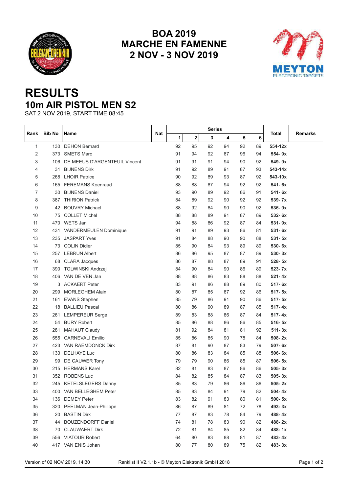<span id="page-18-0"></span>



## **RESULTS 10m AIR PISTOL MEN S2**

SAT 2 NOV 2019, START TIME 08:45

|      |               |                               |     |    |    | <b>Series</b> |    |    |    |            |         |
|------|---------------|-------------------------------|-----|----|----|---------------|----|----|----|------------|---------|
| Rank | <b>Bib No</b> | Name                          | Nat | 1  | 2  | 3             | 4  | 5  | 6  | Total      | Remarks |
| 1    | 130           | <b>DEHON Bernard</b>          |     | 92 | 95 | 92            | 94 | 92 | 89 | 554-12x    |         |
| 2    | 373           | <b>SMETS Marc</b>             |     | 91 | 94 | 92            | 87 | 96 | 94 | 554-9x     |         |
| 3    | 106           | DE MEEUS D'ARGENTEUIL Vincent |     | 91 | 91 | 91            | 94 | 90 | 92 | 549-9x     |         |
| 4    | 31            | <b>BIJNENS Dirk</b>           |     | 91 | 92 | 89            | 91 | 87 | 93 | 543-14x    |         |
| 5    | 268           | <b>LHOIR Patrice</b>          |     | 90 | 92 | 89            | 93 | 87 | 92 | 543-10x    |         |
| 6    | 165           | <b>FEREMANS Koenraad</b>      |     | 88 | 88 | 87            | 94 | 92 | 92 | 541-6x     |         |
| 7    | 30            | <b>BIJNENS Daniel</b>         |     | 93 | 90 | 89            | 92 | 86 | 91 | 541-6x     |         |
| 8    | 387           | <b>THIRION Patrick</b>        |     | 84 | 89 | 92            | 90 | 92 | 92 | 539-7x     |         |
| 9    | 42            | <b>BOUVRY Michael</b>         |     | 88 | 92 | 84            | 90 | 90 | 92 | 536-9x     |         |
| 10   | 75            | <b>COLLET Michel</b>          |     | 88 | 88 | 89            | 91 | 87 | 89 | 532-6x     |         |
| 11   | 470           | WETS Jan                      |     | 94 | 88 | 86            | 92 | 87 | 84 | $531 - 9x$ |         |
| 12   | 431           | VANDERMEULEN Dominique        |     | 91 | 91 | 89            | 93 | 86 | 81 | $531 - 6x$ |         |
| 13   | 235           | <b>JASPART Yves</b>           |     | 91 | 84 | 88            | 90 | 90 | 88 | $531 - 5x$ |         |
| 14   | 73            | <b>COLIN Didier</b>           |     | 85 | 90 | 84            | 93 | 89 | 89 | 530-6x     |         |
| 15   | 257           | <b>LEBRUN Albert</b>          |     | 86 | 86 | 95            | 87 | 87 | 89 | 530-3x     |         |
| 16   | 68            | <b>CLARA Jacques</b>          |     | 86 | 87 | 88            | 87 | 89 | 91 | $528 - 5x$ |         |
| 17   | 390           | TOLWINSKI Andrzej             |     | 84 | 90 | 84            | 90 | 86 | 89 | 523-7x     |         |
| 18   |               | 406 VAN DE VEN Jan            |     | 88 | 88 | 86            | 83 | 88 | 88 | $521 - 4x$ |         |
| 19   | 3             | <b>ACKAERT Peter</b>          |     | 83 | 91 | 86            | 88 | 89 | 80 | 517-6x     |         |
| 20   | 299           | <b>MORLEGHEM Alain</b>        |     | 80 | 87 | 85            | 87 | 92 | 86 | $517 - 5x$ |         |
| 21   | 161           | <b>EVANS Stephen</b>          |     | 85 | 79 | 86            | 91 | 90 | 86 | $517 - 5x$ |         |
| 22   | 18            | <b>BALLIEU Pascal</b>         |     | 80 | 86 | 90            | 89 | 87 | 85 | $517 - 4x$ |         |
| 23   | 261           | <b>LEMPEREUR Serge</b>        |     | 89 | 83 | 88            | 86 | 87 | 84 | $517 - 4x$ |         |
| 24   | 54            | <b>BURY Robert</b>            |     | 85 | 86 | 88            | 86 | 86 | 85 | $516 - 5x$ |         |
| 25   | 281           | <b>MAHAUT Claudy</b>          |     | 81 | 92 | 84            | 81 | 81 | 92 | $511 - 3x$ |         |
| 26   | 555           | <b>CARNEVALI Emilio</b>       |     | 85 | 86 | 85            | 90 | 78 | 84 | $508 - 2x$ |         |
| 27   |               | 423 VAN RAEMDONCK Dirk        |     | 87 | 81 | 90            | 87 | 83 | 79 | 507-6x     |         |
| 28   | 133           | <b>DELHAYE Luc</b>            |     | 80 | 86 | 83            | 84 | 85 | 88 | $506 - 6x$ |         |
| 29   | 99            | DE CAUWER Tony                |     | 79 | 79 | 90            | 86 | 85 | 87 | $506 - 5x$ |         |
| 30   | 215           | <b>HERMANS Karel</b>          |     | 82 | 81 | 83            | 87 | 86 | 86 | $505 - 3x$ |         |
| 31   | 352           | <b>ROBENS Luc</b>             |     | 84 | 82 | 85            | 84 | 87 | 83 | $505 - 3x$ |         |
| 32   |               | 245 KETELSLEGERS Danny        |     | 85 | 83 | 79            | 86 | 86 | 86 | $505 - 2x$ |         |
| 33   |               | 400 VAN BELLEGHEM Peter       |     | 85 | 83 | 84            | 91 | 79 | 82 | $504 - 4x$ |         |
| 34   |               | 136 DEMEY Peter               |     | 83 | 82 | 91            | 83 | 80 | 81 | 500-5x     |         |
| 35   |               | 320 PEELMAN Jean-Philippe     |     | 86 | 87 | 89            | 81 | 72 | 78 | 493-3x     |         |
| 36   |               | 20 BASTIN Dirk                |     | 77 | 87 | 83            | 78 | 84 | 79 | 488-4x     |         |
| 37   |               | 44 BOUZENDORFF Daniel         |     | 74 | 81 | 78            | 83 | 90 | 82 | 488-2x     |         |
| 38   |               | 70 CLAUWAERT Dirk             |     | 72 | 81 | 84            | 85 | 82 | 84 | 488-1x     |         |
| 39   |               | 556 VIATOUR Robert            |     | 64 | 80 | 83            | 88 | 81 | 87 | 483-4x     |         |
| 40   |               | 417 VAN ENIS Johan            |     | 80 | 77 | 80            | 89 | 75 | 82 | 483-3x     |         |

Version of 02 NOV 2019, 14:30 Ranklist II V2.1.1b - © Meyton Elektronik GmbH 2018 Page 1 of 2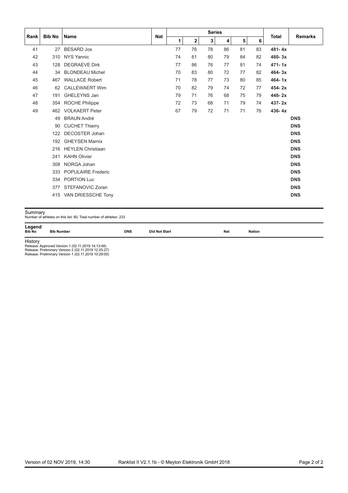|      | <b>Bib No</b> | l Name                    |            |    |              | <b>Series</b> |    |    |    | <b>Total</b> |                |
|------|---------------|---------------------------|------------|----|--------------|---------------|----|----|----|--------------|----------------|
| Rank |               |                           | <b>Nat</b> | 1  | $\mathbf{2}$ | 3             | 4  | 5  | 6  |              | <b>Remarks</b> |
| 41   | 27            | <b>BESARD Jos</b>         |            | 77 | 76           | 78            | 86 | 81 | 83 | $481 - 4x$   |                |
| 42   | 310           | <b>NYS Yannic</b>         |            | 74 | 81           | 80            | 79 | 84 | 82 | $480 - 3x$   |                |
| 43   | 128           | <b>DEGRAEVE Dirk</b>      |            | 77 | 86           | 76            | 77 | 81 | 74 | $471 - 1x$   |                |
| 44   | 34            | <b>BLONDEAU Michel</b>    |            | 70 | 83           | 80            | 72 | 77 | 82 | $464 - 3x$   |                |
| 45   | 467           | <b>WALLACE Robert</b>     |            | 71 | 78           | 77            | 73 | 80 | 85 | $464 - 1x$   |                |
| 46   | 62            | <b>CALLEWAERT Wim</b>     |            | 70 | 82           | 79            | 74 | 72 | 77 | $454 - 2x$   |                |
| 47   | 191           | GHELEYNS Jan              |            | 79 | 71           | 76            | 68 | 75 | 79 | 448-2x       |                |
| 48   | 354           | <b>ROCHE Philippe</b>     |            | 72 | 73           | 68            | 71 | 79 | 74 | $437 - 2x$   |                |
| 49   |               | 462 VOLKAERT Peter        |            | 67 | 79           | 72            | 71 | 71 | 76 | $436 - 4x$   |                |
|      | 49            | <b>BRAUN André</b>        |            |    |              |               |    |    |    |              | <b>DNS</b>     |
|      | 90            | <b>CUCHET Thierry</b>     |            |    |              |               |    |    |    |              | <b>DNS</b>     |
|      | 122           | <b>DECOSTER Johan</b>     |            |    |              |               |    |    |    |              | <b>DNS</b>     |
|      | 192           | <b>GHEYSEN Marnix</b>     |            |    |              |               |    |    |    |              | <b>DNS</b>     |
|      |               | 216 HEYLEN Christiaan     |            |    |              |               |    |    |    |              | <b>DNS</b>     |
|      | 241           | <b>KAHN Olivier</b>       |            |    |              |               |    |    |    |              | <b>DNS</b>     |
|      | 308           | NORGA Johan               |            |    |              |               |    |    |    |              | <b>DNS</b>     |
|      | 333           | <b>POPULAIRE Frederic</b> |            |    |              |               |    |    |    |              | <b>DNS</b>     |
|      | 334           | <b>PORTION Luc</b>        |            |    |              |               |    |    |    |              | <b>DNS</b>     |
|      | 377           | STEFANOVIC Zoran          |            |    |              |               |    |    |    |              | <b>DNS</b>     |
|      |               | 415 VAN DRIESSCHE Tony    |            |    |              |               |    |    |    |              | <b>DNS</b>     |

 $\mathsf{Summary} \ \mathsf{Number}$  of athletes on this list: 60; Total number of athletes: 233

**Legend**<br>
Bib No Bib Number **Bib No Bib Number DNS Did NotStart Nat Nation**

**History**<br>Release: Approved Version 1 (02.11.2019 14:13:48)<br>Release: Preliminary Version 1 (02.11.2019 10:29:00)<br>Release: Preliminary Version 1 (02.11.2019 10:29:00)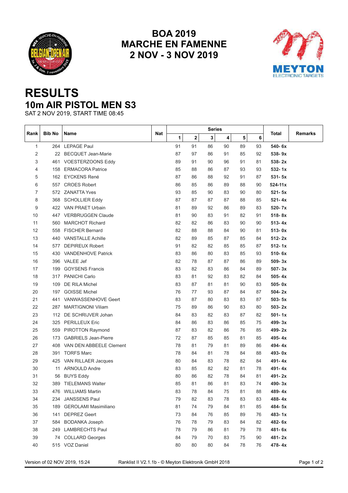<span id="page-20-0"></span>



## **RESULTS 10m AIR PISTOL MEN S3**

SAT 2 NOV 2019, START TIME 08:45

|      |               |                             |     |    |    | <b>Series</b> |    |    |    |             |         |
|------|---------------|-----------------------------|-----|----|----|---------------|----|----|----|-------------|---------|
| Rank | <b>Bib No</b> | Name                        | Nat | 1  | 2  | 3             | 4  | 5  | 6  | Total       | Remarks |
| 1    |               | 264 LEPAGE Paul             |     | 91 | 91 | 86            | 90 | 89 | 93 | 540-6x      |         |
| 2    |               | 22 BECQUET Jean-Marie       |     | 87 | 97 | 86            | 91 | 85 | 92 | 538-9x      |         |
| 3    | 461           | VOESTERZOONS Eddy           |     | 89 | 91 | 90            | 96 | 91 | 81 | $538 - 2x$  |         |
| 4    | 158           | <b>ERMACORA Patrice</b>     |     | 85 | 88 | 86            | 87 | 93 | 93 | $532 - 1x$  |         |
| 5    |               | 162 EYCKENS René            |     | 87 | 86 | 88            | 92 | 91 | 87 | $531 - 5x$  |         |
| 6    | 557           | <b>CROES Robert</b>         |     | 86 | 85 | 86            | 89 | 88 | 90 | $524 - 11x$ |         |
| 7    |               | 572 ZANATTA Yves            |     | 93 | 85 | 90            | 83 | 90 | 80 | $521 - 5x$  |         |
| 8    | 368           | <b>SCHOLLIER Eddy</b>       |     | 87 | 87 | 87            | 87 | 88 | 85 | $521 - 4x$  |         |
| 9    |               | 422 VAN PRAET Urbain        |     | 81 | 89 | 92            | 86 | 89 | 83 | 520-7x      |         |
| 10   |               | 447 VERBRUGGEN Claude       |     | 81 | 90 | 83            | 91 | 82 | 91 | 518-8x      |         |
| 11   | 560           | <b>MARCHOT Richard</b>      |     | 82 | 82 | 86            | 83 | 90 | 90 | $513 - 4x$  |         |
| 12   | 558           | <b>FISCHER Bernard</b>      |     | 82 | 88 | 88            | 84 | 90 | 81 | $513 - 0x$  |         |
| 13   |               | 440 VANSTALLE Achille       |     | 82 | 89 | 85            | 87 | 85 | 84 | $512 - 2x$  |         |
| 14   | 577           | <b>DEPIREUX Robert</b>      |     | 91 | 82 | 82            | 85 | 85 | 87 | $512 - 1x$  |         |
| 15   |               | 430 VANDENHOVE Patrick      |     | 83 | 86 | 80            | 83 | 85 | 93 | 510-6x      |         |
| 16   |               | 396 VALEE Jef               |     | 82 | 78 | 87            | 87 | 86 | 89 | 509-3x      |         |
| 17   | 199           | <b>GOYSENS Francis</b>      |     | 83 | 82 | 83            | 86 | 84 | 89 | 507-3x      |         |
| 18   | 317           | <b>PANICHI Carlo</b>        |     | 83 | 81 | 92            | 83 | 82 | 84 | $505 - 4x$  |         |
| 19   | 109           | DE RILA Michel              |     | 83 | 87 | 81            | 81 | 90 | 83 | $505 - 0x$  |         |
| 20   | 197           | <b>GOISSE Michel</b>        |     | 76 | 77 | 93            | 87 | 84 | 87 | $504 - 2x$  |         |
| 21   | 441           | VANWASSENHOVE Geert         |     | 83 | 87 | 80            | 83 | 83 | 87 | $503 - 5x$  |         |
| 22   | 287           | <b>MARTIGNONI Viliam</b>    |     | 75 | 89 | 86            | 90 | 83 | 80 | $503 - 2x$  |         |
| 23   | 112           | DE SCHRIJVER Johan          |     | 84 | 83 | 82            | 83 | 87 | 82 | $501 - 1x$  |         |
| 24   | 325           | <b>PERILLEUX Eric</b>       |     | 84 | 86 | 83            | 86 | 85 | 75 | 499-3x      |         |
| 25   | 559           | <b>PIROTTON Raymond</b>     |     | 87 | 83 | 82            | 86 | 76 | 85 | 499-2x      |         |
| 26   | 173           | <b>GABRIELS Jean-Pierre</b> |     | 72 | 87 | 85            | 85 | 81 | 85 | 495-4x      |         |
| 27   | 408           | VAN DEN ABBEELE Clement     |     | 78 | 81 | 79            | 81 | 89 | 86 | 494-4x      |         |
| 28   | 391           | <b>TORFS Marc</b>           |     | 78 | 84 | 81            | 78 | 84 | 88 | 493-0x      |         |
| 29   |               | 425 VAN RILLAER Jacques     |     | 80 | 84 | 83            | 78 | 82 | 84 | $491 - 4x$  |         |
| 30   | 11            | <b>ARNOULD Andre</b>        |     | 83 | 85 | 82            | 82 | 81 | 78 | $491 - 4x$  |         |
| 31   | 56            | <b>BUYS Eddy</b>            |     | 80 | 86 | 82            | 78 | 84 | 81 | 491-2x      |         |
| 32   | 389           | <b>TIELEMANS Walter</b>     |     | 85 | 81 | 86            | 81 | 83 | 74 | $490 - 3x$  |         |
| 33   |               | 476 WILLIAMS Martin         |     | 83 | 78 | 84            | 75 | 81 | 88 | 489-4x      |         |
| 34   | 234           | <b>JANSSENS Paul</b>        |     | 79 | 82 | 83            | 78 | 83 | 83 | 488-4x      |         |
| 35   | 189           | <b>GEROLAMI Masimiliano</b> |     | 81 | 74 | 79            | 84 | 81 | 85 | 484-5x      |         |
| 36   | 141           | <b>DEPREZ Geert</b>         |     | 73 | 84 | 76            | 85 | 89 | 76 | 483-1x      |         |
| 37   | 584           | <b>BODANKA Joseph</b>       |     | 76 | 78 | 79            | 83 | 84 | 82 | 482-6x      |         |
| 38   |               | 249 LAMBRECHTS Paul         |     | 78 | 79 | 86            | 81 | 79 | 78 | 481-6x      |         |
| 39   |               | 74 COLLARD Georges          |     | 84 | 79 | 70            | 83 | 75 | 90 | 481-2x      |         |
| 40   |               | 515 VOZ Daniel              |     | 80 | 80 | 80            | 84 | 78 | 76 | 478-4x      |         |

Version of 02 NOV 2019, 15:24 Ranklist II V2.1.1b - © Meyton Elektronik GmbH 2018 Page 1 of 2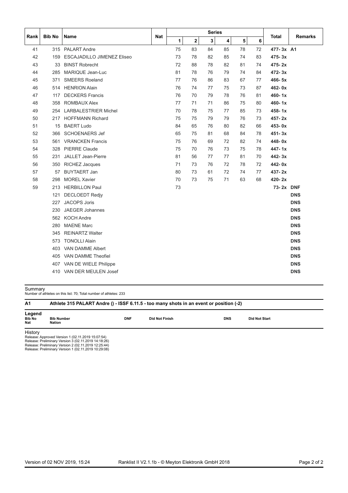|      |               |                                   |            |    |             | <b>Series</b> |    |    |    |            |                |
|------|---------------|-----------------------------------|------------|----|-------------|---------------|----|----|----|------------|----------------|
| Rank | <b>Bib No</b> | Name                              | <b>Nat</b> | 1  | $\mathbf 2$ | 3             | 4  | 5  | 6  | Total      | <b>Remarks</b> |
| 41   |               | 315 PALART Andre                  |            | 75 | 83          | 84            | 85 | 78 | 72 | 477-3x A1  |                |
| 42   | 159           | <b>ESCAJADILLO JIMENEZ Eliseo</b> |            | 73 | 78          | 82            | 85 | 74 | 83 | $475 - 3x$ |                |
| 43   | 33            | <b>BINST Robrecht</b>             |            | 72 | 88          | 78            | 82 | 81 | 74 | $475 - 2x$ |                |
| 44   | 285           | MARIQUE Jean-Luc                  |            | 81 | 78          | 76            | 79 | 74 | 84 | $472 - 3x$ |                |
| 45   | 371           | <b>SMEERS Roeland</b>             |            | 77 | 76          | 86            | 83 | 67 | 77 | $466 - 5x$ |                |
| 46   |               | 514 HENRION Alain                 |            | 76 | 74          | 77            | 75 | 73 | 87 | 462-0x     |                |
| 47   | 117           | <b>DECKERS Francis</b>            |            | 76 | 70          | 79            | 78 | 76 | 81 | $460 - 1x$ |                |
| 48   | 358           | <b>ROMBAUX Alex</b>               |            | 77 | 71          | 71            | 86 | 75 | 80 | $460 - 1x$ |                |
| 49   |               | 254 LARBALESTRIER Michel          |            | 70 | 78          | 75            | 77 | 85 | 73 | $458 - 1x$ |                |
| 50   |               | 217 HOFFMANN Richard              |            | 75 | 75          | 79            | 79 | 76 | 73 | 457-2x     |                |
| 51   | 15            | <b>BAERT Ludo</b>                 |            | 84 | 65          | 76            | 80 | 82 | 66 | $453 - 0x$ |                |
| 52   | 366           | <b>SCHOENAERS Jef</b>             |            | 65 | 75          | 81            | 68 | 84 | 78 | $451 - 3x$ |                |
| 53   | 561           | <b>VRANCKEN Francis</b>           |            | 75 | 76          | 69            | 72 | 82 | 74 | 448-0x     |                |
| 54   | 328           | <b>PIERRE Claude</b>              |            | 75 | 70          | 76            | 73 | 75 | 78 | 447-1x     |                |
| 55   | 231           | JALLET Jean-Pierre                |            | 81 | 56          | 77            | 77 | 81 | 70 | 442-3x     |                |
| 56   | 350           | <b>RICHEZ Jacques</b>             |            | 71 | 73          | 76            | 72 | 78 | 72 | 442-0x     |                |
| 57   | 57            | <b>BUYTAERT Jan</b>               |            | 80 | 73          | 61            | 72 | 74 | 77 | 437-2x     |                |
| 58   | 298           | <b>MOREL Xavier</b>               |            | 70 | 73          | 75            | 71 | 63 | 68 | $420 - 2x$ |                |
| 59   | 213           | <b>HERBILLON Paul</b>             |            | 73 |             |               |    |    |    | 73-2x DNF  |                |
|      | 121           | <b>DECLOEDT Redjy</b>             |            |    |             |               |    |    |    |            | <b>DNS</b>     |
|      | 227           | <b>JACOPS Joris</b>               |            |    |             |               |    |    |    |            | <b>DNS</b>     |
|      | 230           | <b>JAEGER Johannes</b>            |            |    |             |               |    |    |    |            | <b>DNS</b>     |
|      | 562           | <b>KOCH Andre</b>                 |            |    |             |               |    |    |    |            | <b>DNS</b>     |
|      | 280           | <b>MAENE Marc</b>                 |            |    |             |               |    |    |    |            | <b>DNS</b>     |
|      | 345           | <b>REINARTZ Walter</b>            |            |    |             |               |    |    |    |            | <b>DNS</b>     |
|      | 573           | <b>TONOLLI Alain</b>              |            |    |             |               |    |    |    |            | <b>DNS</b>     |
|      | 403           | VAN DAMME Albert                  |            |    |             |               |    |    |    |            | <b>DNS</b>     |
|      | 405           | <b>VAN DAMME Theofiel</b>         |            |    |             |               |    |    |    |            | <b>DNS</b>     |
|      |               | 407 VAN DE WIELE Philippe         |            |    |             |               |    |    |    |            | <b>DNS</b>     |
|      |               | 410 VAN DER MEULEN Josef          |            |    |             |               |    |    |    |            | <b>DNS</b>     |

 $\mathsf{Summary} \ \mathsf{Number}$  of athletes on this list: 70; Total number of athletes: 233

| A1                             |                                                   |            |                       | Athlete 315 PALART Andre () - ISSF 6.11.5 - too many shots in an event or position (-2) |                      |  |
|--------------------------------|---------------------------------------------------|------------|-----------------------|-----------------------------------------------------------------------------------------|----------------------|--|
| Legend<br><b>Bib No</b><br>Nat | <b>Bib Number</b><br>Nation                       | <b>DNF</b> | <b>Did Not Finish</b> | <b>DNS</b>                                                                              | <b>Did Not Start</b> |  |
| History                        | Release: Approved Version 1 (02.11.2019 15:07:54) |            |                       |                                                                                         |                      |  |

Release: Approved Version 1 (02.11.2019 15:07:54)<br>Release: Preliminary Version 3 (02.11.2019 14:18:26)<br>Release: Preliminary Version 1 (02.11.2019 12:25:44)<br>Release: Preliminary Version 1 (02.11.2019 10:29:08)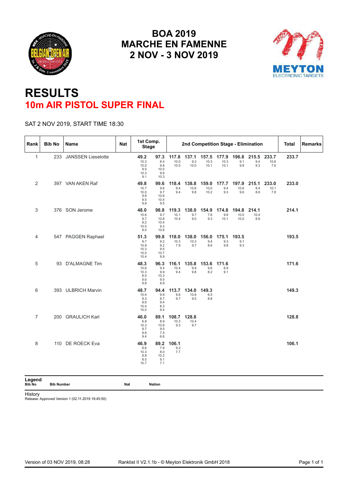<span id="page-22-0"></span>



## **RESULTS 10m AIR PISTOL SUPER FINAL**

#### SAT 2 NOV 2019, START TIME 18:30

| Rank           | <b>Bib No</b> | Name                   | <b>Nat</b> | 1st Comp.<br><b>Stage</b>                   |                                            |                          | 2nd Competition Stage - Elimination |                             |                      |                       |                      |                      | <b>Total</b> | <b>Remarks</b> |
|----------------|---------------|------------------------|------------|---------------------------------------------|--------------------------------------------|--------------------------|-------------------------------------|-----------------------------|----------------------|-----------------------|----------------------|----------------------|--------------|----------------|
| $\mathbf{1}$   |               | 233 JANSSEN Lieselotte |            | 49.2<br>10.3<br>10.0<br>9.5<br>10.3<br>9.1  | 97.3<br>8.4<br>9.8<br>10.0<br>9.6<br>10.3  | 117.8<br>10.0<br>10.5    | 137.1<br>9.3<br>10.0                | 157.5 177.9<br>10.3<br>10.1 | 10.3<br>10.1         | 196.8<br>9.1<br>9.8   | 215.5<br>9.4<br>9.3  | 233.7<br>10.6<br>7.6 | 233.7        |                |
| 2              |               | 397 VAN AKEN Raf       |            | 49.8<br>10.7<br>10.0<br>9.8<br>9.5<br>9.8   | 99.6<br>9.6<br>9.7<br>10.6<br>10.4<br>9.5  | 118.4<br>9.4<br>9.4      | 138.8<br>10.6<br>9.8                | 159.0<br>10.0<br>10.2       | 177.7<br>9.4<br>9.3  | 197.9<br>10.6<br>9.6  | 215.1<br>8.4<br>8.8  | 233.0<br>10.1<br>7.8 | 233.0        |                |
| 3              |               | 376 SON Jerome         |            | 48.0<br>10.6<br>9.7<br>9.2<br>10.5<br>8.0   | 98.8<br>9.7<br>10.8<br>10.4<br>9.3<br>10.6 | 119.3<br>10.1<br>10.4    | 138.0<br>9.7<br>9.0                 | 154.9<br>7.6<br>9.3         | 174.8<br>9.8<br>10.1 | 194.8<br>10.0<br>10.0 | 214.1<br>10.4<br>8.9 |                      | 214.1        |                |
| 4              |               | 547 PAGGEN Raphael     |            | 51.3<br>9.7<br>10.9<br>10.3<br>10.0<br>10.4 | 99.8<br>9.2<br>9.2<br>9.5<br>10.7<br>9.9   | 118.0<br>10.3<br>7.9     | 138.0<br>10.3<br>9.7                | 156.0<br>9.4<br>8.6         | 175.1<br>9.3<br>9.8  | 193.5<br>9.1<br>9.3   |                      |                      | 193.5        |                |
| 5              |               | 93 D'ALMAGNE Tim       |            | 48.3<br>10.6<br>10.3<br>8.0<br>9.6<br>9.8   | 96.3<br>9.4<br>9.9<br>10.3<br>9.5<br>8.9   | 116.1<br>10.4<br>9.4     | 135.8<br>9.9<br>9.8                 | 153.6<br>9.6<br>8.2         | 171.6<br>8.9<br>9.1  |                       |                      |                      | 171.6        |                |
| 6              |               | 393 ULBRICH Marvin     |            | 48.7<br>10.4<br>9.3<br>8.6<br>10.4<br>10.0  | 94.4<br>9.9<br>8.7<br>9.4<br>8.3<br>9.4    | 113.7<br>9.6<br>9.7      | 134.0<br>10.8<br>9.5                | 149.3<br>6.5<br>8.8         |                      |                       |                      |                      | 149.3        |                |
| $\overline{7}$ |               | 200 GRAULICH Karl      |            | 46.0<br>6.8<br>10.3<br>9.7<br>9.8<br>9.4    | 89.1<br>8.9<br>10.6<br>9.5<br>7.5<br>6.6   | 108.7<br>10.3<br>9.3     | 128.8<br>10.4<br>9.7                |                             |                      |                       |                      |                      | 128.8        |                |
| 8              |               | 110 DE ROECK Eva       |            | 46.9<br>8.6<br>10.3<br>8.8<br>8.5<br>10.7   | 7.9<br>8.0<br>10.2<br>9.1<br>7.1           | 89.2 106.1<br>9.2<br>7.7 |                                     |                             |                      |                       |                      |                      | 106.1        |                |

Legend<br>Bib No

**Bib No Bib Number Nat Nation**

History

Release: Approved Version 1 (02.11.2019 19:45:50)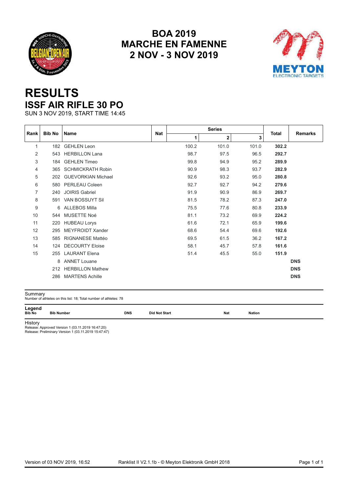<span id="page-23-0"></span>



## **RESULTS ISSF AIR RIFLE 30 PO**

SUN 3 NOV 2019, START TIME 14:45

|                | <b>Bib No</b> |                           |            |       | <b>Series</b> |       |       | <b>Remarks</b> |
|----------------|---------------|---------------------------|------------|-------|---------------|-------|-------|----------------|
| Rank           |               | <b>Name</b>               | <b>Nat</b> | 1     | $\mathbf 2$   | 3     | Total |                |
| 1              | 182           | <b>GEHLEN Leon</b>        |            | 100.2 | 101.0         | 101.0 | 302.2 |                |
| $\overline{2}$ | 543           | <b>HERBILLON Lana</b>     |            | 98.7  | 97.5          | 96.5  | 292.7 |                |
| 3              | 184           | <b>GEHLEN Timeo</b>       |            | 99.8  | 94.9          | 95.2  | 289.9 |                |
| 4              | 365           | <b>SCHMICKRATH Robin</b>  |            | 90.9  | 98.3          | 93.7  | 282.9 |                |
| 5              | 202           | <b>GUEVORKIAN Michael</b> |            | 92.6  | 93.2          | 95.0  | 280.8 |                |
| 6              | 580           | PERLEAU Coleen            |            | 92.7  | 92.7          | 94.2  | 279.6 |                |
| 7              | 240           | <b>JOIRIS Gabriel</b>     |            | 91.9  | 90.9          | 86.9  | 269.7 |                |
| 8              | 591           | VAN BOSSUYT Sil           |            | 81.5  | 78.2          | 87.3  | 247.0 |                |
| 9              | 6             | <b>ALLEBOS Milla</b>      |            | 75.5  | 77.6          | 80.8  | 233.9 |                |
| 10             | 544           | MUSETTE Noé               |            | 81.1  | 73.2          | 69.9  | 224.2 |                |
| 11             | 220           | <b>HUBEAU Lorys</b>       |            | 61.6  | 72.1          | 65.9  | 199.6 |                |
| 12             | 295           | <b>MEYFROIDT Xander</b>   |            | 68.6  | 54.4          | 69.6  | 192.6 |                |
| 13             | 585           | <b>RIGNANESE Mattéo</b>   |            | 69.5  | 61.5          | 36.2  | 167.2 |                |
| 14             | 124           | <b>DECOURTY Eloise</b>    |            | 58.1  | 45.7          | 57.8  | 161.6 |                |
| 15             | 255           | <b>LAURANT Elena</b>      |            | 51.4  | 45.5          | 55.0  | 151.9 |                |
|                | 8             | <b>ANNET Louane</b>       |            |       |               |       |       | <b>DNS</b>     |
|                | 212           | <b>HERBILLON Mathew</b>   |            |       |               |       |       | <b>DNS</b>     |
|                | 286           | <b>MARTENS Achille</b>    |            |       |               |       |       | <b>DNS</b>     |

| Summary                 | Number of athletes on this list: 18; Total number of athletes: 78 |            |               |     |               |
|-------------------------|-------------------------------------------------------------------|------------|---------------|-----|---------------|
| Legend<br><b>Bib No</b> | <b>Bib Number</b>                                                 | <b>DNS</b> | Did Not Start | Nat | <b>Nation</b> |

History Release: Approved Version 1 (03.11.2019 16:47:20) Release: Preliminary Version 1 (03.11.2019 15:47:47)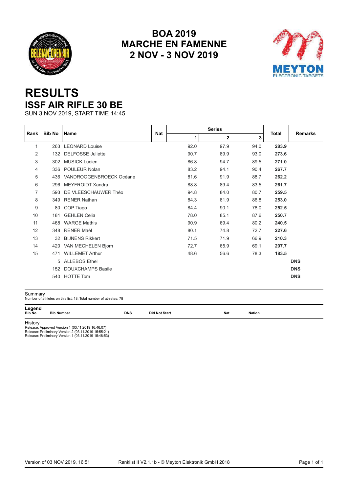<span id="page-24-0"></span>



## **RESULTS ISSF AIR RIFLE 30 BE**

SUN 3 NOV 2019, START TIME 14:45

| Rank           | <b>Bib No</b> | <b>Name</b>              | <b>Nat</b> |      |      |      |              | <b>Remarks</b> |
|----------------|---------------|--------------------------|------------|------|------|------|--------------|----------------|
|                |               |                          |            | 1    | 2    | 3    | <b>Total</b> |                |
| 1              |               | 263 LEONARD Louise       |            | 92.0 | 97.9 | 94.0 | 283.9        |                |
| 2              | 132           | <b>DELFOSSE Juliette</b> |            | 90.7 | 89.9 | 93.0 | 273.6        |                |
| 3              | 302           | <b>MUSICK Lucien</b>     |            | 86.8 | 94.7 | 89.5 | 271.0        |                |
| 4              | 336           | POULEUR Nolan            |            | 83.2 | 94.1 | 90.4 | 267.7        |                |
| 5              | 436           | VANDROOGENBROECK Océane  |            | 81.6 | 91.9 | 88.7 | 262.2        |                |
| 6              | 296           | MEYFROIDT Xandra         |            | 88.8 | 89.4 | 83.5 | 261.7        |                |
| $\overline{7}$ | 593           | DE VLEESCHAUWER Théo     |            | 94.8 | 84.0 | 80.7 | 259.5        |                |
| 8              | 349           | <b>RENER Nathan</b>      |            | 84.3 | 81.9 | 86.8 | 253.0        |                |
| 9              | 80            | COP Tiago                |            | 84.4 | 90.1 | 78.0 | 252.5        |                |
| 10             | 181           | <b>GEHLEN Celia</b>      |            | 78.0 | 85.1 | 87.6 | 250.7        |                |
| 11             | 468           | <b>WARGE Mathis</b>      |            | 90.9 | 69.4 | 80.2 | 240.5        |                |
| 12             | 348           | <b>RENER Maël</b>        |            | 80.1 | 74.8 | 72.7 | 227.6        |                |
| 13             | 32            | <b>BIJNENS Rikkert</b>   |            | 71.5 | 71.9 | 66.9 | 210.3        |                |
| 14             | 420           | VAN MECHELEN Bjorn       |            | 72.7 | 65.9 | 69.1 | 207.7        |                |
| 15             | 471           | <b>WILLEMET Arthur</b>   |            | 48.6 | 56.6 | 78.3 | 183.5        |                |
|                | 5             | <b>ALLEBOS Ethel</b>     |            |      |      |      |              | <b>DNS</b>     |
|                | 152           | <b>DOUXCHAMPS Basile</b> |            |      |      |      |              | <b>DNS</b>     |
|                | 540           | <b>HOTTE Tom</b>         |            |      |      |      |              | <b>DNS</b>     |

| Summary                 | Number of athletes on this list: 18; Total number of athletes: 78 |            |                      |     |        |  |
|-------------------------|-------------------------------------------------------------------|------------|----------------------|-----|--------|--|
| Legend<br><b>Bib No</b> | <b>Bib Number</b>                                                 | <b>DNS</b> | <b>Did Not Start</b> | Nat | Nation |  |

History Release: Approved Version 1 (03.11.2019 16:46:07) Release: Preliminary Version 2 (03.11.2019 15:55:21) Release: Preliminary Version 1 (03.11.2019 15:48:53)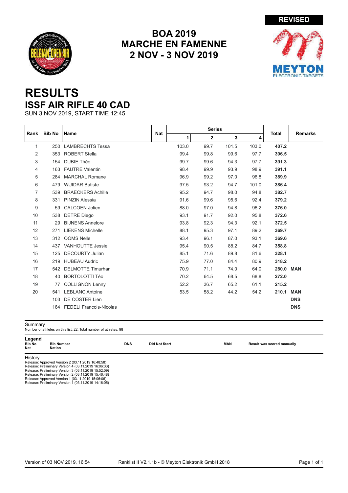<span id="page-25-0"></span>



## **RESULTS ISSF AIR RIFLE 40 CAD**

SUN 3 NOV 2019, START TIME 12:45

|                |               |                                |            | <b>Series</b> |              |       |       |              |                |
|----------------|---------------|--------------------------------|------------|---------------|--------------|-------|-------|--------------|----------------|
| Rank           | <b>Bib No</b> | Name                           | <b>Nat</b> | 1             | $\mathbf{2}$ | 3     | 4     | <b>Total</b> | <b>Remarks</b> |
| $\mathbf{1}$   | 250           | <b>LAMBRECHTS Tessa</b>        |            | 103.0         | 99.7         | 101.5 | 103.0 | 407.2        |                |
| 2              | 353           | <b>ROBERT Stella</b>           |            | 99.4          | 99.8         | 99.6  | 97.7  | 396.5        |                |
| 3              | 154           | <b>DUBIE Théo</b>              |            | 99.7          | 99.6         | 94.3  | 97.7  | 391.3        |                |
| 4              | 163           | <b>FAUTRE Valentin</b>         |            | 98.4          | 99.9         | 93.9  | 98.9  | 391.1        |                |
| 5              | 284           | <b>MARCHAL Romane</b>          |            | 96.9          | 99.2         | 97.0  | 96.8  | 389.9        |                |
| 6              | 479           | <b>WUIDAR Batiste</b>          |            | 97.5          | 93.2         | 94.7  | 101.0 | 386.4        |                |
| $\overline{7}$ | 539           | <b>BRAECKERS Achille</b>       |            | 95.2          | 94.7         | 98.0  | 94.8  | 382.7        |                |
| 8              | 331           | <b>PINZIN Alessia</b>          |            | 91.6          | 99.6         | 95.6  | 92.4  | 379.2        |                |
| 9              | 59            | <b>CALCOEN Jolien</b>          |            | 88.0          | 97.0         | 94.8  | 96.2  | 376.0        |                |
| 10             | 538           | <b>DETRE Diego</b>             |            | 93.1          | 91.7         | 92.0  | 95.8  | 372.6        |                |
| 11             | 29            | <b>BIJNENS Annelore</b>        |            | 93.8          | 92.3         | 94.3  | 92.1  | 372.5        |                |
| 12             | 271           | <b>LIEKENS Michelle</b>        |            | 88.1          | 95.3         | 97.1  | 89.2  | 369.7        |                |
| 13             | 312           | <b>OOMS Nelle</b>              |            | 93.4          | 96.1         | 87.0  | 93.1  | 369.6        |                |
| 14             | 437           | <b>VANHOUTTE Jessie</b>        |            | 95.4          | 90.5         | 88.2  | 84.7  | 358.8        |                |
| 15             | 125           | <b>DECOURTY Julian</b>         |            | 85.1          | 71.6         | 89.8  | 81.6  | 328.1        |                |
| 16             | 219           | <b>HUBEAU Audric</b>           |            | 75.9          | 77.0         | 84.4  | 80.9  | 318.2        |                |
| 17             | 542           | <b>DELMOTTE Timurhan</b>       |            | 70.9          | 71.1         | 74.0  | 64.0  | 280.0 MAN    |                |
| 18             | 40            | <b>BORTOLOTTI Téo</b>          |            | 70.2          | 64.5         | 68.5  | 68.8  | 272.0        |                |
| 19             | 77            | <b>COLLIGNON Lenny</b>         |            | 52.2          | 36.7         | 65.2  | 61.1  | 215.2        |                |
| 20             | 541           | <b>LEBLANC Antoine</b>         |            | 53.5          | 58.2         | 44.2  | 54.2  | 210.1 MAN    |                |
|                | 103           | DE COSTER Lien                 |            |               |              |       |       |              | <b>DNS</b>     |
|                | 164           | <b>FEDELI Francois-Nicolas</b> |            |               |              |       |       |              | <b>DNS</b>     |

| Summary                 | Number of athletes on this list: 22: Total number of athletes: 98 |            |                      |            |                            |
|-------------------------|-------------------------------------------------------------------|------------|----------------------|------------|----------------------------|
| Legend<br>Bib No<br>Nat | <b>Bib Number</b><br><b>Nation</b>                                | <b>DNS</b> | <b>Did Not Start</b> | <b>MAN</b> | Result was scored manually |
| History                 |                                                                   |            |                      |            |                            |
|                         | Release: Approved Version 2 (03.11.2019 16:48:58)                 |            |                      |            |                            |
|                         | Release: Preliminary Version 4 (03.11.2019 16:06:33)              |            |                      |            |                            |
|                         | Release: Preliminary Version 3 (03.11.2019 15:52:09)              |            |                      |            |                            |
|                         | Release: Preliminary Version 2 (03.11.2019 15:46:48)              |            |                      |            |                            |
|                         | Release: Approved Version 1 (03.11.2019 15:06:06)                 |            |                      |            |                            |
|                         | Release: Preliminary Version 1 (03.11.2019 14:16:05)              |            |                      |            |                            |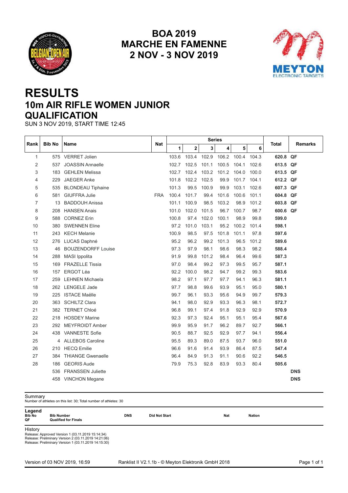<span id="page-26-0"></span>



## **RESULTS 10m AIR RIFLE WOMEN JUNIOR QUALIFICATION**

SUN 3 NOV 2019, START TIME 12:45

|      |               |                           |            |       |             | <b>Series</b> |       |             |       |          |                |
|------|---------------|---------------------------|------------|-------|-------------|---------------|-------|-------------|-------|----------|----------------|
| Rank | <b>Bib No</b> | <b>Name</b>               | Nat        | 1     | $\mathbf 2$ | 3             | 4     | 5           | 6     | Total    | <b>Remarks</b> |
| 1    | 575           | <b>VERRET Jolien</b>      |            | 103.6 | 103.4       | 102.9         | 106.2 | 100.4 104.3 |       | 620.8 QF |                |
| 2    | 537           | <b>JOASSIN Annaelle</b>   |            | 102.7 | 102.5       | 101.1         | 100.5 | 104.1       | 102.6 | 613.5 QF |                |
| 3    | 183           | <b>GEHLEN Melissa</b>     |            | 102.7 | 102.4       | 103.2         | 101.2 | 104.0       | 100.0 | 613.5 QF |                |
| 4    | 229           | <b>JAEGER Anke</b>        |            | 101.8 | 102.2       | 102.5         | 99.9  | 101.7       | 104.1 | 612.2 QF |                |
| 5    | 535           | <b>BLONDEAU Tiphaine</b>  |            | 101.3 | 99.5        | 100.9         | 99.9  | 103.1       | 102.6 | 607.3 QF |                |
| 6    | 581           | <b>GIUFFRA Julie</b>      | <b>FRA</b> | 100.4 | 101.7       | 99.4          | 101.6 | 100.6       | 101.1 | 604.8 QF |                |
| 7    | 13            | <b>BADDOUH Anissa</b>     |            | 101.1 | 100.9       | 98.5          | 103.2 | 98.9        | 101.2 | 603.8 QF |                |
| 8    | 208           | <b>HANSEN Anais</b>       |            | 101.0 | 102.0       | 101.5         | 96.7  | 100.7       | 98.7  | 600.6 QF |                |
| 9    | 588           | <b>CORNEZ Erin</b>        |            | 100.8 | 97.4        | 102.0         | 100.1 | 98.9        | 99.8  | 599.0    |                |
| 10   | 380           | <b>SWENNEN Eline</b>      |            | 97.2  | 101.0       | 103.1         | 95.2  | 100.2       | 101.4 | 598.1    |                |
| 11   | 243           | <b>KECH Melanie</b>       |            | 100.9 | 98.5        | 97.5          | 101.8 | 101.1       | 97.8  | 597.6    |                |
| 12   | 276           | LUCAS Daphné              |            | 95.2  | 96.2        | 99.2          | 101.3 | 96.5        | 101.2 | 589.6    |                |
| 13   | 46            | <b>BOUZENDORFF Louise</b> |            | 97.3  | 97.9        | 98.1          | 98.6  | 98.3        | 98.2  | 588.4    |                |
| 14   | 288           | MASI Ippolita             |            | 91.9  | 99.8        | 101.2         | 98.4  | 96.4        | 99.6  | 587.3    |                |
| 15   | 169           | <b>FRAZELLE Tissia</b>    |            | 97.0  | 98.4        | 99.2          | 97.3  | 99.5        | 95.7  | 587.1    |                |
| 16   | 157           | <b>ERGOT Léa</b>          |            | 92.2  | 100.0       | 98.2          | 94.7  | 99.2        | 99.3  | 583.6    |                |
| 17   | 259           | <b>LEHNEN Michaela</b>    |            | 98.2  | 97.1        | 97.7          | 97.7  | 94.1        | 96.3  | 581.1    |                |
| 18   |               | 262 LENGELE Jade          |            | 97.7  | 98.8        | 99.6          | 93.9  | 95.1        | 95.0  | 580.1    |                |
| 19   | 225           | <b>ISTACE Maëlle</b>      |            | 99.7  | 96.1        | 93.3          | 95.6  | 94.9        | 99.7  | 579.3    |                |
| 20   | 363           | <b>SCHILTZ Clara</b>      |            | 94.1  | 98.0        | 92.9          | 93.3  | 96.3        | 98.1  | 572.7    |                |
| 21   |               | 382 TERNET Chloé          |            | 96.8  | 99.1        | 97.4          | 91.8  | 92.9        | 92.9  | 570.9    |                |
| 22   | 218           | <b>HOSDEY Marine</b>      |            | 92.3  | 97.3        | 92.4          | 95.1  | 95.1        | 95.4  | 567.6    |                |
| 23   | 292           | <b>MEYFROIDT Amber</b>    |            | 99.9  | 95.9        | 91.7          | 96.2  | 89.7        | 92.7  | 566.1    |                |
| 24   | 438           | <b>VANNESTE Sofie</b>     |            | 90.5  | 88.7        | 92.5          | 92.9  | 97.7        | 94.1  | 556.4    |                |
| 25   |               | 4 ALLEBOS Caroline        |            | 95.5  | 89.3        | 89.0          | 87.5  | 93.7        | 96.0  | 551.0    |                |
| 26   | 210           | <b>HECQ Emilie</b>        |            | 96.6  | 91.6        | 91.4          | 93.9  | 86.4        | 87.5  | 547.4    |                |
| 27   | 384           | <b>THIANGE Gwenaelle</b>  |            | 96.4  | 84.9        | 91.3          | 91.1  | 90.6        | 92.2  | 546.5    |                |
| 28   | 186           | <b>GEORIS Aude</b>        |            | 79.9  | 75.3        | 92.8          | 83.9  | 93.3        | 80.4  | 505.6    |                |
|      | 536           | <b>FRANSSEN Juliette</b>  |            |       |             |               |       |             |       |          | <b>DNS</b>     |
|      |               | 458 VINCHON Megane        |            |       |             |               |       |             |       |          | <b>DNS</b>     |

Summary Number of athletes on this list: 30; Total number of athletes: 30

| Legend<br><b>Bib No</b><br>OF. | <b>Bib Number</b><br><b>Qualified for Finals</b>                                                                                                                  | <b>DNS</b> | <b>Did Not Start</b> | <b>Nat</b> | <b>Nation</b> |
|--------------------------------|-------------------------------------------------------------------------------------------------------------------------------------------------------------------|------------|----------------------|------------|---------------|
| History                        | Release: Approved Version 1 (03.11.2019 15:14:34)<br>Release: Preliminary Version 2 (03.11.2019 14:21:06)<br>Release: Preliminary Version 1 (03.11.2019 14:15:30) |            |                      |            |               |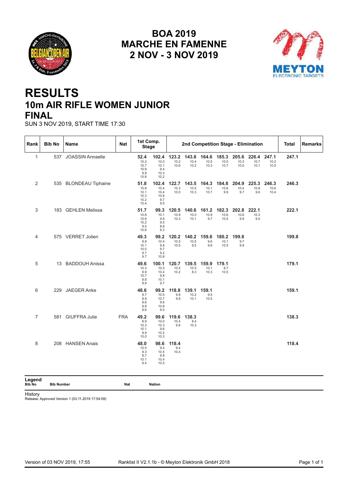<span id="page-27-0"></span>



## **RESULTS 10m AIR RIFLE WOMEN JUNIOR FINAL**

SUN 3 NOV 2019, START TIME 17:30

| Rank           | <b>Bib No</b> | Name                  | <b>Nat</b> | 1st Comp.<br><b>Stage</b>                    |                                              |                       |                       |                       |                       | 2nd Competition Stage - Elimination |                       |                       | <b>Total</b> | <b>Remarks</b> |
|----------------|---------------|-----------------------|------------|----------------------------------------------|----------------------------------------------|-----------------------|-----------------------|-----------------------|-----------------------|-------------------------------------|-----------------------|-----------------------|--------------|----------------|
| $\mathbf{1}$   |               | 537 JOASSIN Annaelle  |            | 52.4<br>10.2<br>10.7<br>10.8<br>9.9<br>10.8  | 102.4<br>10.0<br>10.1<br>9.4<br>10.3<br>10.2 | 123.2<br>10.2<br>10.6 | 143.8<br>10.4<br>10.2 | 164.6<br>10.5<br>10.3 | 185.3<br>10.0<br>10.7 | 205.6<br>10.3<br>10.0               | 226.4<br>10.7<br>10.1 | 247.1<br>10.2<br>10.5 | 247.1        |                |
| 2              |               | 535 BLONDEAU Tiphaine |            | 51.8<br>10.8<br>10.1<br>10.3<br>10.2<br>10.4 | 102.4<br>10.4<br>10.4<br>10.6<br>9.7<br>9.5  | 122.7<br>10.3<br>10.0 | 143.5<br>10.5<br>10.3 | 164.3<br>10.1<br>10.7 | 184.8<br>10.6<br>9.9  | 204.9<br>10.4<br>9.7                | 225.3<br>10.8<br>9.6  | 246.3<br>10.6<br>10.4 | 246.3        |                |
| 3              |               | 183 GEHLEN Melissa    |            | 51.7<br>10.8<br>10.6<br>10.2<br>9.5<br>10.6  | 99.3<br>10.1<br>9.9<br>9.5<br>8.8<br>9.3     | 120.5<br>10.9<br>10.3 | 140.6<br>10.0<br>10.1 | 161.2<br>10.9<br>9.7  | 182.3<br>10.6<br>10.5 | 202.8<br>10.6<br>9.9                | 222.1<br>10.3<br>9.0  |                       | 222.1        |                |
| 4              |               | 575 VERRET Jolien     |            | 49.3<br>9.8<br>10.1<br>10.0<br>9.7<br>9.7    | 99.2<br>10.4<br>9.8<br>9.7<br>9.2<br>10.8    | 120.2<br>10.5<br>10.5 | 140.2<br>10.5<br>9.5  | 159.6<br>9.6<br>9.8   | 180.2<br>10.1<br>10.5 | 199.8<br>9.7<br>9.9                 |                       |                       | 199.8        |                |
| 5              |               | 13 BADDOUH Anissa     |            | 49.6<br>10.3<br>9.9<br>10.7<br>8.8<br>9.9    | 100.1<br>10.5<br>10.4<br>9.8<br>10.1<br>9.7  | 120.7<br>10.4<br>10.2 | 139.5<br>10.5<br>8.3  | 159.9<br>10.1<br>10.3 | 179.1<br>8.7<br>10.5  |                                     |                       |                       | 179.1        |                |
| 6              |               | 229 JAEGER Anke       |            | 48.6<br>9.7<br>9.9<br>9.6<br>9.8<br>9.6      | 99.2<br>10.5<br>10.7<br>9.6<br>10.8<br>9.0   | 118.8<br>9.8<br>9.8   | 139.1<br>10.2<br>10.1 | 159.1<br>9.5<br>10.5  |                       |                                     |                       |                       | 159.1        |                |
| $\overline{7}$ |               | 581 GIUFFRA Julie     | <b>FRA</b> | 49.2<br>8.9<br>10.3<br>10.1<br>9.9<br>10.0   | 99.6<br>10.0<br>10.3<br>9.6<br>10.2<br>10.3  | 119.6<br>10.4<br>9.6  | 138.3<br>8.4<br>10.3  |                       |                       |                                     |                       |                       | 138.3        |                |
| 8              |               | 208 HANSEN Anais      |            | 48.0<br>10.5<br>9.3<br>8.7<br>10.1<br>9.4    | 98.6<br>9.4<br>10.5<br>9.8<br>10.4<br>10.5   | 118.4<br>9.4<br>10.4  |                       |                       |                       |                                     |                       |                       | 118.4        |                |

**Legend**

**Bib No Bib Number Nat Nation**

History

Release: Approved Version 1 (03.11.2019 17:54:09)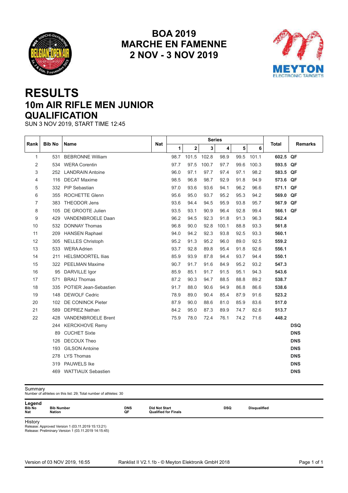<span id="page-28-0"></span>



## **RESULTS 10m AIR RIFLE MEN JUNIOR QUALIFICATION**

SUN 3 NOV 2019, START TIME 12:45

| <b>Name</b><br>Total<br><b>Remarks</b><br>3<br>1<br>$\mathbf 2$<br>4<br>5<br>6<br>$\mathbf{1}$<br><b>BEBRONNE William</b><br>98.7<br>101.5<br>102.8<br>98.9<br>99.5<br>101.1<br>602.5 QF<br>531<br>$\overline{2}$<br><b>WERA Corentin</b><br>97.7<br>97.5<br>100.7<br>97.7<br>99.6<br>100.3<br>593.5 QF<br>534<br>97.1<br>97.7<br>3<br>96.0<br>97.4<br>97.1<br>98.2<br><b>LANDRAIN Antoine</b><br>583.5 QF<br>252<br>98.5<br>96.8<br>98.7<br><b>DECAT Maxime</b><br>92.9<br>91.8<br>94.9<br>573.6 QF<br>116<br>4<br>5<br>332 PIP Sebastian<br>97.0<br>93.6<br>93.6<br>94.1<br>96.2<br>96.6<br>571.1 QF<br><b>ROCHETTE Glenn</b><br>95.6<br>95.0<br>95.2<br>6<br>93.7<br>95.3<br>94.2<br>569.0 QF<br>355<br>93.6<br>7<br><b>THEODOR Jens</b><br>94.4<br>94.5<br>95.9<br>93.8<br>95.7<br>567.9 QF<br>383<br>8<br>DE GROOTE Julien<br>93.5<br>93.1<br>90.9<br>96.4<br>92.8<br>99.4<br>566.1 QF<br>105<br>96.2<br>VANDENBROELE Daan<br>94.5<br>92.3<br>91.8<br>91.3<br>562.4<br>9<br>96.3<br>429<br>96.8<br>10<br>90.0<br>92.8<br>100.1<br>88.8<br>93.3<br>561.8<br><b>DONNAY Thomas</b><br>532<br>94.2<br><b>HANSEN Raphael</b><br>94.0<br>92.3<br>93.8<br>92.5<br>93.3<br>560.1<br>11<br>209<br>95.2<br>91.3<br>95.2<br>96.0<br>12<br><b>NELLES Christoph</b><br>89.0<br>92.5<br>559.2<br>305<br>13<br><b>WERA Adrien</b><br>93.7<br>92.8<br>89.8<br>95.4<br>92.6<br>556.1<br>533<br>91.8<br>85.9<br>93.9<br>87.8<br><b>HELSMOORTEL Ilias</b><br>94.4<br>93.7<br>94.4<br>550.1<br>14<br>211<br>90.7<br>547.3<br>15<br><b>PEELMAN Maxime</b><br>91.7<br>91.6<br>84.9<br>95.2<br>93.2<br>322<br>85.9<br>85.1<br>16<br>DARVILLE Igor<br>91.7<br>91.5<br>95.1<br>94.3<br>543.6<br>95<br><b>BRAU Thomas</b><br>87.2<br>90.3<br>94.7<br>88.5<br>88.8<br>538.7<br>17<br>89.2<br>571<br>91.7<br>88.0<br>90.6<br>86.8<br>538.6<br>18<br>POTIER Jean-Sebastien<br>94.9<br>86.6<br>335<br>78.9<br>90.4<br>85.4<br>523.2<br>19<br><b>DEWOLF Cedric</b><br>89.0<br>87.9<br>91.6<br>148<br>87.9<br>88.6<br>517.0<br>20<br><b>DE CONINCK Pieter</b><br>90.0<br>81.0<br>85.9<br>83.6<br>102<br>84.2<br>87.3<br>82.6<br>21<br><b>DEPREZ Nathan</b><br>95.0<br>89.9<br>74.7<br>513.7<br>589<br>VANDENBROELE Brent<br>75.9<br>74.2<br>448.2<br>22<br>78.0<br>72.4<br>76.1<br>71.6<br>428<br><b>DSQ</b><br><b>KERCKHOVE Remy</b><br>244<br><b>DNS</b><br><b>CUCHET Sixte</b><br>89<br><b>DECOUX Theo</b><br><b>DNS</b><br>126<br><b>GILSON Antoine</b><br><b>DNS</b><br>193<br><b>LYS Thomas</b><br><b>DNS</b><br>278<br><b>PAUWELS Ike</b><br><b>DNS</b><br>319<br><b>DNS</b><br><b>WATTIAUX Sebastien</b><br>469 |      | <b>Bib No</b> | <b>Series</b><br>Nat |  |  |  |  |  |  |
|----------------------------------------------------------------------------------------------------------------------------------------------------------------------------------------------------------------------------------------------------------------------------------------------------------------------------------------------------------------------------------------------------------------------------------------------------------------------------------------------------------------------------------------------------------------------------------------------------------------------------------------------------------------------------------------------------------------------------------------------------------------------------------------------------------------------------------------------------------------------------------------------------------------------------------------------------------------------------------------------------------------------------------------------------------------------------------------------------------------------------------------------------------------------------------------------------------------------------------------------------------------------------------------------------------------------------------------------------------------------------------------------------------------------------------------------------------------------------------------------------------------------------------------------------------------------------------------------------------------------------------------------------------------------------------------------------------------------------------------------------------------------------------------------------------------------------------------------------------------------------------------------------------------------------------------------------------------------------------------------------------------------------------------------------------------------------------------------------------------------------------------------------------------------------------------------------------------------------------------------------------------------------------------------------------------------------------------------------------------------------------------------------------------------------------------------------------------------------------------------------------------------------------------------------------------------------------------------|------|---------------|----------------------|--|--|--|--|--|--|
|                                                                                                                                                                                                                                                                                                                                                                                                                                                                                                                                                                                                                                                                                                                                                                                                                                                                                                                                                                                                                                                                                                                                                                                                                                                                                                                                                                                                                                                                                                                                                                                                                                                                                                                                                                                                                                                                                                                                                                                                                                                                                                                                                                                                                                                                                                                                                                                                                                                                                                                                                                                              | Rank |               |                      |  |  |  |  |  |  |
|                                                                                                                                                                                                                                                                                                                                                                                                                                                                                                                                                                                                                                                                                                                                                                                                                                                                                                                                                                                                                                                                                                                                                                                                                                                                                                                                                                                                                                                                                                                                                                                                                                                                                                                                                                                                                                                                                                                                                                                                                                                                                                                                                                                                                                                                                                                                                                                                                                                                                                                                                                                              |      |               |                      |  |  |  |  |  |  |
|                                                                                                                                                                                                                                                                                                                                                                                                                                                                                                                                                                                                                                                                                                                                                                                                                                                                                                                                                                                                                                                                                                                                                                                                                                                                                                                                                                                                                                                                                                                                                                                                                                                                                                                                                                                                                                                                                                                                                                                                                                                                                                                                                                                                                                                                                                                                                                                                                                                                                                                                                                                              |      |               |                      |  |  |  |  |  |  |
|                                                                                                                                                                                                                                                                                                                                                                                                                                                                                                                                                                                                                                                                                                                                                                                                                                                                                                                                                                                                                                                                                                                                                                                                                                                                                                                                                                                                                                                                                                                                                                                                                                                                                                                                                                                                                                                                                                                                                                                                                                                                                                                                                                                                                                                                                                                                                                                                                                                                                                                                                                                              |      |               |                      |  |  |  |  |  |  |
|                                                                                                                                                                                                                                                                                                                                                                                                                                                                                                                                                                                                                                                                                                                                                                                                                                                                                                                                                                                                                                                                                                                                                                                                                                                                                                                                                                                                                                                                                                                                                                                                                                                                                                                                                                                                                                                                                                                                                                                                                                                                                                                                                                                                                                                                                                                                                                                                                                                                                                                                                                                              |      |               |                      |  |  |  |  |  |  |
|                                                                                                                                                                                                                                                                                                                                                                                                                                                                                                                                                                                                                                                                                                                                                                                                                                                                                                                                                                                                                                                                                                                                                                                                                                                                                                                                                                                                                                                                                                                                                                                                                                                                                                                                                                                                                                                                                                                                                                                                                                                                                                                                                                                                                                                                                                                                                                                                                                                                                                                                                                                              |      |               |                      |  |  |  |  |  |  |
|                                                                                                                                                                                                                                                                                                                                                                                                                                                                                                                                                                                                                                                                                                                                                                                                                                                                                                                                                                                                                                                                                                                                                                                                                                                                                                                                                                                                                                                                                                                                                                                                                                                                                                                                                                                                                                                                                                                                                                                                                                                                                                                                                                                                                                                                                                                                                                                                                                                                                                                                                                                              |      |               |                      |  |  |  |  |  |  |
|                                                                                                                                                                                                                                                                                                                                                                                                                                                                                                                                                                                                                                                                                                                                                                                                                                                                                                                                                                                                                                                                                                                                                                                                                                                                                                                                                                                                                                                                                                                                                                                                                                                                                                                                                                                                                                                                                                                                                                                                                                                                                                                                                                                                                                                                                                                                                                                                                                                                                                                                                                                              |      |               |                      |  |  |  |  |  |  |
|                                                                                                                                                                                                                                                                                                                                                                                                                                                                                                                                                                                                                                                                                                                                                                                                                                                                                                                                                                                                                                                                                                                                                                                                                                                                                                                                                                                                                                                                                                                                                                                                                                                                                                                                                                                                                                                                                                                                                                                                                                                                                                                                                                                                                                                                                                                                                                                                                                                                                                                                                                                              |      |               |                      |  |  |  |  |  |  |
|                                                                                                                                                                                                                                                                                                                                                                                                                                                                                                                                                                                                                                                                                                                                                                                                                                                                                                                                                                                                                                                                                                                                                                                                                                                                                                                                                                                                                                                                                                                                                                                                                                                                                                                                                                                                                                                                                                                                                                                                                                                                                                                                                                                                                                                                                                                                                                                                                                                                                                                                                                                              |      |               |                      |  |  |  |  |  |  |
|                                                                                                                                                                                                                                                                                                                                                                                                                                                                                                                                                                                                                                                                                                                                                                                                                                                                                                                                                                                                                                                                                                                                                                                                                                                                                                                                                                                                                                                                                                                                                                                                                                                                                                                                                                                                                                                                                                                                                                                                                                                                                                                                                                                                                                                                                                                                                                                                                                                                                                                                                                                              |      |               |                      |  |  |  |  |  |  |
|                                                                                                                                                                                                                                                                                                                                                                                                                                                                                                                                                                                                                                                                                                                                                                                                                                                                                                                                                                                                                                                                                                                                                                                                                                                                                                                                                                                                                                                                                                                                                                                                                                                                                                                                                                                                                                                                                                                                                                                                                                                                                                                                                                                                                                                                                                                                                                                                                                                                                                                                                                                              |      |               |                      |  |  |  |  |  |  |
|                                                                                                                                                                                                                                                                                                                                                                                                                                                                                                                                                                                                                                                                                                                                                                                                                                                                                                                                                                                                                                                                                                                                                                                                                                                                                                                                                                                                                                                                                                                                                                                                                                                                                                                                                                                                                                                                                                                                                                                                                                                                                                                                                                                                                                                                                                                                                                                                                                                                                                                                                                                              |      |               |                      |  |  |  |  |  |  |
|                                                                                                                                                                                                                                                                                                                                                                                                                                                                                                                                                                                                                                                                                                                                                                                                                                                                                                                                                                                                                                                                                                                                                                                                                                                                                                                                                                                                                                                                                                                                                                                                                                                                                                                                                                                                                                                                                                                                                                                                                                                                                                                                                                                                                                                                                                                                                                                                                                                                                                                                                                                              |      |               |                      |  |  |  |  |  |  |
|                                                                                                                                                                                                                                                                                                                                                                                                                                                                                                                                                                                                                                                                                                                                                                                                                                                                                                                                                                                                                                                                                                                                                                                                                                                                                                                                                                                                                                                                                                                                                                                                                                                                                                                                                                                                                                                                                                                                                                                                                                                                                                                                                                                                                                                                                                                                                                                                                                                                                                                                                                                              |      |               |                      |  |  |  |  |  |  |
|                                                                                                                                                                                                                                                                                                                                                                                                                                                                                                                                                                                                                                                                                                                                                                                                                                                                                                                                                                                                                                                                                                                                                                                                                                                                                                                                                                                                                                                                                                                                                                                                                                                                                                                                                                                                                                                                                                                                                                                                                                                                                                                                                                                                                                                                                                                                                                                                                                                                                                                                                                                              |      |               |                      |  |  |  |  |  |  |
|                                                                                                                                                                                                                                                                                                                                                                                                                                                                                                                                                                                                                                                                                                                                                                                                                                                                                                                                                                                                                                                                                                                                                                                                                                                                                                                                                                                                                                                                                                                                                                                                                                                                                                                                                                                                                                                                                                                                                                                                                                                                                                                                                                                                                                                                                                                                                                                                                                                                                                                                                                                              |      |               |                      |  |  |  |  |  |  |
|                                                                                                                                                                                                                                                                                                                                                                                                                                                                                                                                                                                                                                                                                                                                                                                                                                                                                                                                                                                                                                                                                                                                                                                                                                                                                                                                                                                                                                                                                                                                                                                                                                                                                                                                                                                                                                                                                                                                                                                                                                                                                                                                                                                                                                                                                                                                                                                                                                                                                                                                                                                              |      |               |                      |  |  |  |  |  |  |
|                                                                                                                                                                                                                                                                                                                                                                                                                                                                                                                                                                                                                                                                                                                                                                                                                                                                                                                                                                                                                                                                                                                                                                                                                                                                                                                                                                                                                                                                                                                                                                                                                                                                                                                                                                                                                                                                                                                                                                                                                                                                                                                                                                                                                                                                                                                                                                                                                                                                                                                                                                                              |      |               |                      |  |  |  |  |  |  |
|                                                                                                                                                                                                                                                                                                                                                                                                                                                                                                                                                                                                                                                                                                                                                                                                                                                                                                                                                                                                                                                                                                                                                                                                                                                                                                                                                                                                                                                                                                                                                                                                                                                                                                                                                                                                                                                                                                                                                                                                                                                                                                                                                                                                                                                                                                                                                                                                                                                                                                                                                                                              |      |               |                      |  |  |  |  |  |  |
|                                                                                                                                                                                                                                                                                                                                                                                                                                                                                                                                                                                                                                                                                                                                                                                                                                                                                                                                                                                                                                                                                                                                                                                                                                                                                                                                                                                                                                                                                                                                                                                                                                                                                                                                                                                                                                                                                                                                                                                                                                                                                                                                                                                                                                                                                                                                                                                                                                                                                                                                                                                              |      |               |                      |  |  |  |  |  |  |
|                                                                                                                                                                                                                                                                                                                                                                                                                                                                                                                                                                                                                                                                                                                                                                                                                                                                                                                                                                                                                                                                                                                                                                                                                                                                                                                                                                                                                                                                                                                                                                                                                                                                                                                                                                                                                                                                                                                                                                                                                                                                                                                                                                                                                                                                                                                                                                                                                                                                                                                                                                                              |      |               |                      |  |  |  |  |  |  |
|                                                                                                                                                                                                                                                                                                                                                                                                                                                                                                                                                                                                                                                                                                                                                                                                                                                                                                                                                                                                                                                                                                                                                                                                                                                                                                                                                                                                                                                                                                                                                                                                                                                                                                                                                                                                                                                                                                                                                                                                                                                                                                                                                                                                                                                                                                                                                                                                                                                                                                                                                                                              |      |               |                      |  |  |  |  |  |  |
|                                                                                                                                                                                                                                                                                                                                                                                                                                                                                                                                                                                                                                                                                                                                                                                                                                                                                                                                                                                                                                                                                                                                                                                                                                                                                                                                                                                                                                                                                                                                                                                                                                                                                                                                                                                                                                                                                                                                                                                                                                                                                                                                                                                                                                                                                                                                                                                                                                                                                                                                                                                              |      |               |                      |  |  |  |  |  |  |
|                                                                                                                                                                                                                                                                                                                                                                                                                                                                                                                                                                                                                                                                                                                                                                                                                                                                                                                                                                                                                                                                                                                                                                                                                                                                                                                                                                                                                                                                                                                                                                                                                                                                                                                                                                                                                                                                                                                                                                                                                                                                                                                                                                                                                                                                                                                                                                                                                                                                                                                                                                                              |      |               |                      |  |  |  |  |  |  |
|                                                                                                                                                                                                                                                                                                                                                                                                                                                                                                                                                                                                                                                                                                                                                                                                                                                                                                                                                                                                                                                                                                                                                                                                                                                                                                                                                                                                                                                                                                                                                                                                                                                                                                                                                                                                                                                                                                                                                                                                                                                                                                                                                                                                                                                                                                                                                                                                                                                                                                                                                                                              |      |               |                      |  |  |  |  |  |  |
|                                                                                                                                                                                                                                                                                                                                                                                                                                                                                                                                                                                                                                                                                                                                                                                                                                                                                                                                                                                                                                                                                                                                                                                                                                                                                                                                                                                                                                                                                                                                                                                                                                                                                                                                                                                                                                                                                                                                                                                                                                                                                                                                                                                                                                                                                                                                                                                                                                                                                                                                                                                              |      |               |                      |  |  |  |  |  |  |
|                                                                                                                                                                                                                                                                                                                                                                                                                                                                                                                                                                                                                                                                                                                                                                                                                                                                                                                                                                                                                                                                                                                                                                                                                                                                                                                                                                                                                                                                                                                                                                                                                                                                                                                                                                                                                                                                                                                                                                                                                                                                                                                                                                                                                                                                                                                                                                                                                                                                                                                                                                                              |      |               |                      |  |  |  |  |  |  |
|                                                                                                                                                                                                                                                                                                                                                                                                                                                                                                                                                                                                                                                                                                                                                                                                                                                                                                                                                                                                                                                                                                                                                                                                                                                                                                                                                                                                                                                                                                                                                                                                                                                                                                                                                                                                                                                                                                                                                                                                                                                                                                                                                                                                                                                                                                                                                                                                                                                                                                                                                                                              |      |               |                      |  |  |  |  |  |  |
|                                                                                                                                                                                                                                                                                                                                                                                                                                                                                                                                                                                                                                                                                                                                                                                                                                                                                                                                                                                                                                                                                                                                                                                                                                                                                                                                                                                                                                                                                                                                                                                                                                                                                                                                                                                                                                                                                                                                                                                                                                                                                                                                                                                                                                                                                                                                                                                                                                                                                                                                                                                              |      |               |                      |  |  |  |  |  |  |

Summary Number of athletes on this list: 29; Total number of athletes: 30

**Legend<br>Bib No Bib Number Bib No Bib Number DNS Did Not Start DSQ Disqualified Nat Nation QF Qualified for Finals**

**History** 

Release: Approved Version 1 (03.11.2019 15:13:21) Release: Preliminary Version 1 (03.11.2019 14:15:45)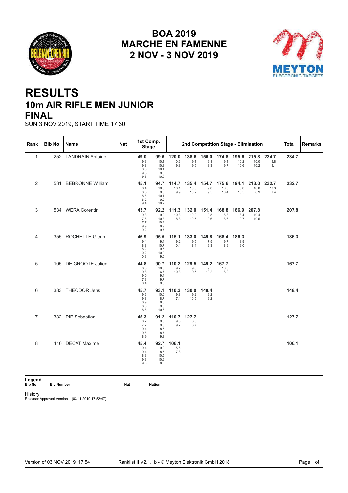<span id="page-29-0"></span>



## **RESULTS 10m AIR RIFLE MEN JUNIOR FINAL**

SUN 3 NOV 2019, START TIME 17:30

| Rank           | <b>Bib No</b> | Name                 | <b>Nat</b> | 1st Comp.<br><b>Stage</b>                 |                                             |                      |                            |                     |                       |                       | 2nd Competition Stage - Elimination |                      | <b>Total</b> | <b>Remarks</b> |
|----------------|---------------|----------------------|------------|-------------------------------------------|---------------------------------------------|----------------------|----------------------------|---------------------|-----------------------|-----------------------|-------------------------------------|----------------------|--------------|----------------|
| $\mathbf{1}$   |               | 252 LANDRAIN Antoine |            | 49.0<br>9.3<br>9.8<br>10.6<br>9.5<br>9.8  | 99.6<br>10.1<br>10.8<br>10.4<br>9.3<br>10.0 | 120.0<br>10.6<br>9.8 | 138.6<br>9.1<br>9.5        | 156.0<br>9.1<br>8.3 | 174.8<br>9.1<br>9.7   | 195.6<br>10.2<br>10.6 | 215.8<br>10.0<br>10.2               | 234.7<br>9.8<br>9.1  | 234.7        |                |
| 2              |               | 531 BEBRONNE William |            | 45.1<br>8.4<br>10.5<br>8.6<br>8.2<br>9.4  | 94.7<br>10.3<br>9.8<br>10.1<br>9.2<br>10.2  | 114.7<br>10.1<br>9.9 | 135.4<br>10.5<br>10.2      | 154.7<br>9.8<br>9.5 | 175.6<br>10.5<br>10.4 | 194.1<br>8.0<br>10.5  | 213.0<br>10.0<br>8.9                | 232.7<br>10.3<br>9.4 | 232.7        |                |
| 3              |               | 534 WERA Corentin    |            | 43.7<br>9.3<br>7.6<br>7.7<br>9.9<br>9.2   | 92.2<br>9.2<br>10.3<br>10.4<br>8.9<br>9.7   | 111.3<br>10.3<br>8.8 | 132.0<br>10.2<br>10.5      | 151.4<br>9.8<br>9.6 | 168.8<br>8.8<br>8.6   | 186.9<br>8.4<br>9.7   | 207.8<br>10.4<br>10.5               |                      | 207.8        |                |
| 4              |               | 355 ROCHETTE Glenn   |            | 46.9<br>9.4<br>8.8<br>8.2<br>10.2<br>10.3 | 95.5<br>9.4<br>10.7<br>9.5<br>10.0<br>9.0   | 115.1<br>9.2<br>10.4 | 133.0 149.8<br>9.5<br>8.4  | 7.5<br>9.3          | 168.4<br>9.7<br>8.9   | 186.3<br>8.9<br>9.0   |                                     |                      | 186.3        |                |
| 5              |               | 105 DE GROOTE Julien |            | 44.8<br>8.3<br>9.8<br>9.0<br>7.3<br>10.4  | 90.7<br>10.5<br>6.7<br>9.4<br>9.7<br>9.6    | 110.2<br>9.2<br>10.3 | 129.5 149.2<br>9.8<br>9.5  | 9.5<br>10.2         | 167.7<br>10.3<br>8.2  |                       |                                     |                      | 167.7        |                |
| 6              |               | 383 THEODOR Jens     |            | 45.7<br>9.6<br>9.8<br>8.9<br>8.8<br>8.6   | 93.1<br>10.0<br>8.7<br>8.8<br>9.3<br>10.6   | 110.3<br>9.8<br>7.4  | 130.0 148.4<br>9.2<br>10.5 | 9.2<br>9.2          |                       |                       |                                     |                      | 148.4        |                |
| $\overline{7}$ |               | 332 PIP Sebastian    |            | 45.3<br>10.2<br>7.2<br>9.4<br>9.6<br>8.9  | 91.2<br>9.8<br>9.6<br>8.5<br>8.7<br>9.3     | 110.7<br>9.8<br>9.7  | 127.7<br>8.3<br>8.7        |                     |                       |                       |                                     |                      | 127.7        |                |
| 8              |               | 116 DECAT Maxime     |            | 45.4<br>9.4<br>9.4<br>8.3<br>9.3<br>9.0   | 92.7<br>9.2<br>8.5<br>10.5<br>10.6<br>8.5   | 106.1<br>5.6<br>7.8  |                            |                     |                       |                       |                                     |                      | 106.1        |                |

**Legend**

**Bib No Bib Number Nat Nation**

History

Release: Approved Version 1 (03.11.2019 17:52:47)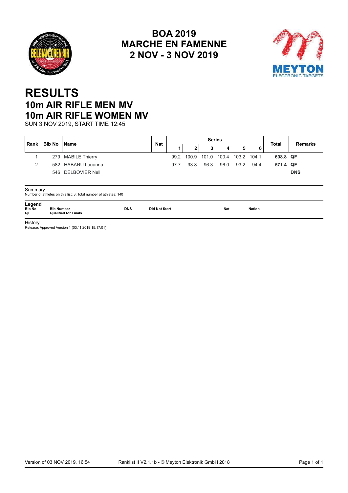<span id="page-30-0"></span>



## **RESULTS 10m AIR RIFLE MEN MV 10m AIR RIFLE WOMEN MV**

SUN 3 NOV 2019, START TIME 12:45

|                               | Bib No            | <b>Name</b>                                                       | <b>Nat</b>           |      |       | <b>Series</b> |       | <b>Total</b> | <b>Remarks</b> |          |            |
|-------------------------------|-------------------|-------------------------------------------------------------------|----------------------|------|-------|---------------|-------|--------------|----------------|----------|------------|
| Rank                          |                   |                                                                   |                      |      |       | 3             | 4     | 5            | 6              |          |            |
|                               |                   | 279 MABILE Thierry                                                |                      | 99.2 | 100.9 | 101.0         | 100.4 | 103.2 104.1  |                | 608.8 QF |            |
| 2                             |                   | 582 HABARU Lauanna                                                |                      | 97.7 | 93.8  | 96.3          | 96.0  | 93.2         | 94.4           | 571.4 QF |            |
|                               |                   | 546 DELBOVIER Nell                                                |                      |      |       |               |       |              |                |          | <b>DNS</b> |
|                               |                   |                                                                   |                      |      |       |               |       |              |                |          |            |
| Summary                       |                   |                                                                   |                      |      |       |               |       |              |                |          |            |
|                               |                   | Number of athletes on this list: 3; Total number of athletes: 140 |                      |      |       |               |       |              |                |          |            |
| Legend<br><b>Bib No</b><br>OF | <b>Bib Number</b> | <b>DNS</b><br><b>Qualified for Finals</b>                         | <b>Did Not Start</b> |      |       |               | Nat   |              | <b>Nation</b>  |          |            |

**History** 

Release: Approved Version 1 (03.11.2019 15:17:01)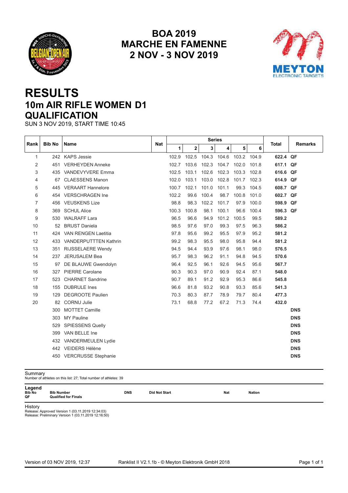<span id="page-31-0"></span>



## **RESULTS 10m AIR RIFLE WOMEN D1 QUALIFICATION**

SUN 3 NOV 2019, START TIME 10:45

|              |               |                              |            |       |       | <b>Series</b> |       |             |       |              |                |
|--------------|---------------|------------------------------|------------|-------|-------|---------------|-------|-------------|-------|--------------|----------------|
| Rank         | <b>Bib No</b> | Name                         | <b>Nat</b> | 1     | 2     | 3             | 4     | 5           | 6     | <b>Total</b> | <b>Remarks</b> |
| $\mathbf{1}$ |               | 242 KAPS Jessie              |            | 102.9 | 102.5 | 104.3         | 104.6 | 103.2 104.9 |       | 622.4 QF     |                |
| 2            | 451           | <b>VERHEYDEN Anneke</b>      |            | 102.7 | 103.6 | 102.3         | 104.7 | 102.0       | 101.8 | 617.1 QF     |                |
| 3            |               | 435 VANDEVYVERE Emma         |            | 102.5 | 103.1 | 102.6         | 102.3 | 103.3 102.8 |       | 616.6 QF     |                |
| 4            | 67            | <b>CLAESSENS Manon</b>       |            | 102.0 | 103.1 | 103.0         | 102.8 | 101.7       | 102.3 | 614.9        | QF             |
| 5            |               | 445 VERAART Hannelore        |            | 100.7 | 102.1 | 101.0         | 101.1 | 99.3        | 104.5 | 608.7 QF     |                |
| 6            | 454           | <b>VERSCHRAGEN Ine</b>       |            | 102.2 | 99.6  | 100.4         | 98.7  | 100.8       | 101.0 | 602.7 QF     |                |
| 7            |               | 456 VEUSKENS Lize            |            | 98.8  | 98.3  | 102.2         | 101.7 | 97.9        | 100.0 | 598.9 QF     |                |
| 8            | 369           | <b>SCHUL Alice</b>           |            | 100.3 | 100.8 | 98.1          | 100.1 | 96.6        | 100.4 | 596.3 QF     |                |
| 9            |               | 530 WALRAFF Lara             |            | 96.5  | 96.6  | 94.9          | 101.2 | 100.5       | 99.5  | 589.2        |                |
| 10           | 52            | <b>BRUST Daniela</b>         |            | 98.5  | 97.6  | 97.0          | 99.3  | 97.5        | 96.3  | 586.2        |                |
| 11           | 424           | <b>VAN RENGEN Laetitia</b>   |            | 97.8  | 95.6  | 99.2          | 95.5  | 97.9        | 95.2  | 581.2        |                |
| 12           | 433           | <b>VANDERPUTTTEN Kathrin</b> |            | 99.2  | 98.3  | 95.5          | 98.0  | 95.8        | 94.4  | 581.2        |                |
| 13           | 351           | RIJSSELAERE Wendy            |            | 94.5  | 94.4  | 93.9          | 97.6  | 98.1        | 98.0  | 576.5        |                |
| 14           | 237           | <b>JERUSALEM Bea</b>         |            | 95.7  | 98.3  | 96.2          | 91.1  | 94.8        | 94.5  | 570.6        |                |
| 15           | 97            | DE BLAUWE Gwendolyn          |            | 96.4  | 92.5  | 96.1          | 92.6  | 94.5        | 95.6  | 567.7        |                |
| 16           | 327           | <b>PIERRE Carolane</b>       |            | 90.3  | 90.3  | 97.0          | 90.9  | 92.4        | 87.1  | 548.0        |                |
| 17           | 523           | <b>CHARNET Sandrine</b>      |            | 90.7  | 89.1  | 91.2          | 92.9  | 95.3        | 86.6  | 545.8        |                |
| 18           | 155           | <b>DUBRULE</b> Ines          |            | 96.6  | 81.8  | 93.2          | 90.8  | 93.3        | 85.6  | 541.3        |                |
| 19           | 129           | <b>DEGROOTE Paulien</b>      |            | 70.3  | 80.3  | 87.7          | 78.9  | 79.7        | 80.4  | 477.3        |                |
| 20           | 82            | <b>CORNU Julie</b>           |            | 73.1  | 68.8  | 77.2          | 67.2  | 71.3        | 74.4  | 432.0        |                |
|              | 300           | <b>MOTTET Camille</b>        |            |       |       |               |       |             |       |              | <b>DNS</b>     |
|              | 303           | <b>MY Pauline</b>            |            |       |       |               |       |             |       |              | <b>DNS</b>     |
|              | 529           | <b>SPIESSENS Quelly</b>      |            |       |       |               |       |             |       |              | <b>DNS</b>     |
|              | 399           | VAN BELLE Ine                |            |       |       |               |       |             |       |              | <b>DNS</b>     |
|              |               | 432 VANDERMEULEN Lydie       |            |       |       |               |       |             |       |              | <b>DNS</b>     |
|              |               | 442 VEIDERS Hélène           |            |       |       |               |       |             |       |              | <b>DNS</b>     |
|              |               | 450 VERCRUSSE Stephanie      |            |       |       |               |       |             |       |              | <b>DNS</b>     |

| Summary                | Number of athletes on this list: 27; Total number of athletes: 39 |            |                      |            |               |  |
|------------------------|-------------------------------------------------------------------|------------|----------------------|------------|---------------|--|
| Legend<br>Bib No<br>ОF | <b>Bib Number</b><br><b>Qualified for Finals</b>                  | <b>DNS</b> | <b>Did Not Start</b> | <b>Nat</b> | <b>Nation</b> |  |
| $1.11 \pm 1.1$         |                                                                   |            |                      |            |               |  |

History Release: Approved Version 1 (03.11.2019 12:34:03) Release: Preliminary Version 1 (03.11.2019 12:16:50)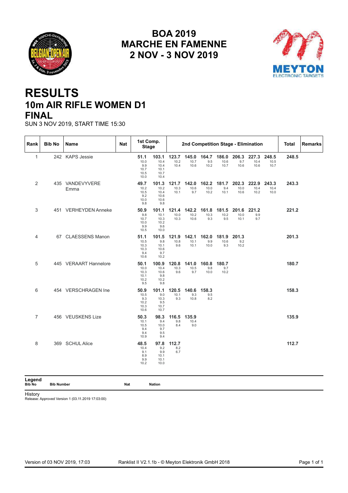<span id="page-32-0"></span>



## **RESULTS 10m AIR RIFLE WOMEN D1 FINAL**

SUN 3 NOV 2019, START TIME 15:30

| Rank                    | <b>Bib No</b>     | Name                    | <b>Nat</b> | 1st Comp.<br><b>Stage</b>                   |                                               |                       |                       | 2nd Competition Stage - Elimination |                       |                       |                       |                       | Total | Remarks |
|-------------------------|-------------------|-------------------------|------------|---------------------------------------------|-----------------------------------------------|-----------------------|-----------------------|-------------------------------------|-----------------------|-----------------------|-----------------------|-----------------------|-------|---------|
| $\mathbf{1}$            |                   | 242 KAPS Jessie         |            | 51.1<br>10.0<br>9.9<br>10.7<br>10.5<br>10.0 | 103.1<br>10.4<br>10.4<br>10.1<br>10.7<br>10.4 | 123.7<br>10.2<br>10.4 | 145.0<br>10.7<br>10.6 | 164.7<br>9.5<br>10.2                | 186.0<br>10.6<br>10.7 | 206.3<br>9.7<br>10.6  | 227.3<br>10.4<br>10.6 | 248.5<br>10.5<br>10.7 | 248.5 |         |
| 2                       |                   | 435 VANDEVYVERE<br>Emma |            | 49.7<br>10.2<br>10.5<br>9.2<br>10.0<br>9.8  | 101.3<br>10.2<br>10.4<br>10.6<br>10.6<br>9.8  | 121.7<br>10.3<br>10.1 | 142.0<br>10.6<br>9.7  | 162.2<br>10.0<br>10.2               | 181.7<br>9.4<br>10.1  | 202.3<br>10.0<br>10.6 | 222.9<br>10.4<br>10.2 | 243.3<br>10.4<br>10.0 | 243.3 |         |
| 3                       |                   | 451 VERHEYDEN Anneke    |            | 50.9<br>9.8<br>10.7<br>10.0<br>9.9<br>10.5  | 101.1<br>10.1<br>10.3<br>10.2<br>9.6<br>10.0  | 121.4<br>10.0<br>10.3 | 142.2<br>10.2<br>10.6 | 161.8<br>10.3<br>9.3                | 181.5<br>10.2<br>9.5  | 201.6<br>10.0<br>10.1 | 221.2<br>9.9<br>9.7   |                       | 221.2 |         |
| 4                       |                   | 67 CLAESSENS Manon      |            | 51.1<br>10.5<br>10.3<br>10.3<br>9.4<br>10.6 | 101.5<br>9.8<br>10.1<br>10.6<br>9.7<br>10.2   | 121.9<br>10.8<br>9.6  | 142.1<br>10.1<br>10.1 | 162.0<br>9.9<br>10.0                | 181.9<br>10.6<br>9.3  | 201.3<br>9.2<br>10.2  |                       |                       | 201.3 |         |
| 5                       |                   | 445 VERAART Hannelore   |            | 50.1<br>10.0<br>10.3<br>10.1<br>10.2<br>9.5 | 100.9<br>10.4<br>10.6<br>9.8<br>10.2<br>9.8   | 120.8<br>10.3<br>9.6  | 141.0<br>10.5<br>9.7  | 160.8<br>9.8<br>10.0                | 180.7<br>9.7<br>10.2  |                       |                       |                       | 180.7 |         |
| 6                       |                   | 454 VERSCHRAGEN Ine     |            | 50.9<br>10.5<br>9.3<br>10.2<br>10.3<br>10.6 | 101.1<br>9.0<br>10.3<br>9.5<br>10.7<br>10.7   | 120.5<br>10.1<br>9.3  | 140.6<br>9.3<br>10.8  | 158.3<br>9.5<br>8.2                 |                       |                       |                       |                       | 158.3 |         |
| $\overline{7}$          |                   | 456 VEUSKENS Lize       |            | 50.3<br>10.1<br>10.5<br>9.4<br>9.4<br>10.9  | 98.3<br>9.4<br>10.0<br>9.7<br>9.5<br>9.4      | 116.5<br>9.8<br>8.4   | 135.9<br>10.4<br>9.0  |                                     |                       |                       |                       |                       | 135.9 |         |
| 8                       |                   | 369 SCHUL Alice         |            | 48.5<br>10.4<br>9.1<br>8.9<br>9.9<br>10.2   | 97.8<br>9.2<br>9.9<br>10.1<br>10.1<br>10.0    | 112.7<br>8.2<br>6.7   |                       |                                     |                       |                       |                       |                       | 112.7 |         |
| Legend<br><b>Bib No</b> | <b>Bib Number</b> |                         | Nat        |                                             | <b>Nation</b>                                 |                       |                       |                                     |                       |                       |                       |                       |       |         |

History

Release: Approved Version 1 (03.11.2019 17:03:00)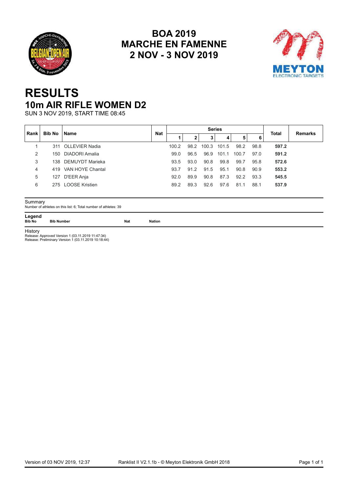<span id="page-33-0"></span>



## **RESULTS 10m AIR RIFLE WOMEN D2**

SUN 3 NOV 2019, START TIME 08:45

| Rank | Bib No | l Name               | <b>Nat</b> |       |      |       | <b>Series</b> |       |      | <b>Total</b> | <b>Remarks</b> |
|------|--------|----------------------|------------|-------|------|-------|---------------|-------|------|--------------|----------------|
|      |        |                      |            |       | z    | 3     | 4             | 5     | 6    |              |                |
|      | 311    | OLLEVIER Nadia       |            | 100.2 | 98.2 | 100.3 | 101.5         | 98.2  | 98.8 | 597.2        |                |
| 2    |        | 150 DIADORI Amalia   |            | 99.0  | 96.5 | 96.9  | 101.1         | 100.7 | 97.0 | 591.2        |                |
| 3    |        | 138 DEMUYDT Marieka  |            | 93.5  | 93.0 | 90.8  | 99.8          | 99.7  | 95.8 | 572.6        |                |
| 4    |        | 419 VAN HOYE Chantal |            | 93.7  | 91.2 | 91.5  | 95.1          | 90.8  | 90.9 | 553.2        |                |
| 5    | 127    | D'EER Anja           |            | 92.0  | 89.9 | 90.8  | 87.3          | 92.2  | 93.3 | 545.5        |                |
| 6    |        | 275 LOOSE Kristien   |            | 89.2  | 89.3 | 92.6  | 97.6          | 81.1  | 88.1 | 537.9        |                |
|      |        |                      |            |       |      |       |               |       |      |              |                |

Summary Number of athletes on this list: 6; Total number of athletes: 39 **Summary**<br>
Number of athletes on this list: 6; Total number of athletes: 39<br> **Legend**Bib No Bib Number Nation<br>
Bib No Bib Number

**Legend<br>Bib No Bib Number** 

History

Release: Approved Version 1 (03.11.2019 11:47:34) Release: Preliminary Version 1 (03.11.2019 10:18:44)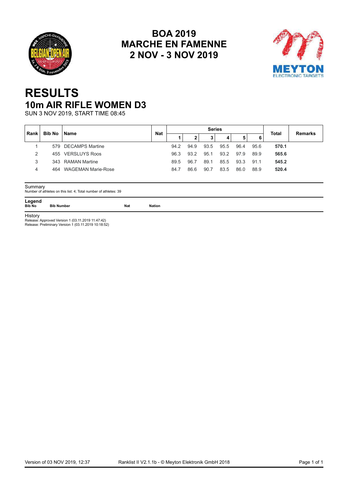<span id="page-34-0"></span>



## **RESULTS 10m AIR RIFLE WOMEN D3**

SUN 3 NOV 2019, START TIME 08:45

| ∣ Rank        | Bib No | <b>∣Name</b>           | <b>Nat</b> |      |              | <b>Series</b> |      |      |      | Total | <b>Remarks</b> |
|---------------|--------|------------------------|------------|------|--------------|---------------|------|------|------|-------|----------------|
|               |        |                        |            |      | $\mathbf{2}$ | 3             | 4    | 5    | 6    |       |                |
|               |        | 579 DECAMPS Martine    |            | 94.2 | 94.9         | 93.5          | 95.5 | 96.4 | 95.6 | 570.1 |                |
| $\mathcal{D}$ |        | 455 VERSLUYS Roos      |            | 96.3 | 93.2         | 95.1          | 93.2 | 97.9 | 89.9 | 565.6 |                |
| 3             |        | 343 RAMAN Martine      |            | 89.5 | 96.7         | 89.1          | 85.5 | 93.3 | 91.1 | 545.2 |                |
| 4             |        | 464 WAGEMAN Marie-Rose |            | 84.7 | 86.6         | 90.7          | 83.5 | 86.0 | 88.9 | 520.4 |                |

Summary Number of athletes on this list: 4; Total number of athletes: 39

Legend<br>Bib No Bib Number **Summary**<br>
Number of athletes on this list: 4; Total number of athletes: 39<br> **Legend**Bib No Bib Number Nation<br>
Bib No Bib Number

**History** 

Release: Approved Version 1 (03.11.2019 11:47:42) Release: Preliminary Version 1 (03.11.2019 10:18:52)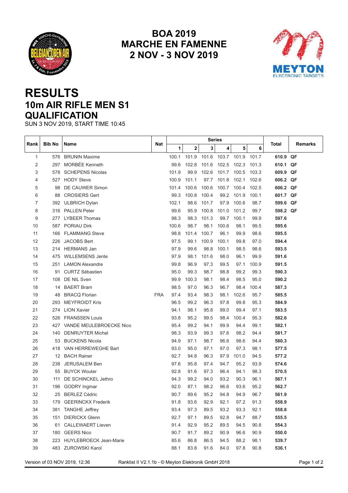<span id="page-35-0"></span>



## **RESULTS 10m AIR RIFLE MEN S1 QUALIFICATION**

SUN 3 NOV 2019, START TIME 10:45

| Rank           | <b>Bib No</b> | Name                                                                                 | Nat        |       |             |       | <b>Series</b> |       |       | Total    | Remarks     |
|----------------|---------------|--------------------------------------------------------------------------------------|------------|-------|-------------|-------|---------------|-------|-------|----------|-------------|
|                |               |                                                                                      |            | 1     | $\mathbf 2$ | 3     | 4             | 5     | 6     |          |             |
| $\mathbf{1}$   | 576           | <b>BRUNIN Maxime</b>                                                                 |            | 100.1 | 101.9       | 101.6 | 103.7 101.9   |       | 101.7 | 610.9 QF |             |
| 2              | 297           | MORBÉE Kenneth                                                                       |            | 99.6  | 102.8       | 101.6 | 102.5         | 102.3 | 101.3 | 610.1    | QF          |
| 3              | 578           | <b>SCHEPENS Nicolas</b>                                                              |            | 101.9 | 99.9        | 102.6 | 101.7         | 100.5 | 103.3 | 609.9 QF |             |
| 4              | 527           | <b>HODY Steve</b>                                                                    |            | 100.9 | 101.1       | 97.7  | 101.8         | 102.1 | 102.6 | 606.2 QF |             |
| 5              | 98            | DE CAUWER Simon                                                                      |            | 101.4 | 100.6       | 100.6 | 100.7         | 100.4 | 102.5 | 606.2 QF |             |
| 6              | 88            | <b>CROSIERS Gert</b>                                                                 |            | 99.3  | 100.8       | 100.4 | 99.2          | 101.9 | 100.1 | 601.7 QF |             |
| $\overline{7}$ |               | 392 ULBRICH Dylan                                                                    |            | 102.1 | 98.6        | 101.7 | 97.9          | 100.6 | 98.7  | 599.6 QF |             |
| 8              |               | 316 PALLEN Peter                                                                     |            | 99.6  | 95.9        | 100.8 | 101.0         | 101.2 | 99.7  | 598.2 QF |             |
| 9              | 277.          | <b>LYBEER Thomas</b>                                                                 |            | 98.3  | 98.3        | 101.3 | 99.7          | 100.1 | 99.9  | 597.6    |             |
| 10             | 587           | <b>PORIAU Dirk</b>                                                                   |            | 100.6 | 98.7        | 98.1  | 100.6         | 98.1  | 99.5  | 595.6    |             |
| 11             | 166           | <b>FLAMMANG Steve</b>                                                                |            | 98.8  | 101.4       | 100.7 | 96.1          | 99.9  | 98.6  | 595.5    |             |
| 12             | 226           | <b>JACOBS Bert</b>                                                                   |            | 97.5  | 99.1        | 100.9 | 100.1         | 99.8  | 97.0  | 594.4    |             |
| 13             | 214           | <b>HERMANS Jan</b>                                                                   |            | 97.9  | 99.6        | 98.8  | 100.1         | 98.5  | 98.6  | 593.5    |             |
| 14             | 475           | <b>WILLEMSENS Jente</b>                                                              |            | 97.9  | 98.1        | 101.6 | 98.0          | 96.1  | 99.9  | 591.6    |             |
| 15             | 251           | <b>LAMON Alexandre</b>                                                               |            | 99.8  | 96.9        | 97.3  | 99.5          | 97.1  | 100.9 | 591.5    |             |
| 16             | 91            | <b>CURTZ Sébastien</b>                                                               |            | 95.0  | 99.3        | 98.7  | 98.8          | 99.2  | 99.3  | 590.3    |             |
| 17             | 108           | DE NIL Sven                                                                          |            | 99.9  | 100.3       | 98.1  | 98.4          | 98.5  | 95.0  | 590.2    |             |
| 18             | 14            | <b>BAERT Bram</b>                                                                    |            | 98.5  | 97.0        | 96.3  | 96.7          | 98.4  | 100.4 | 587.3    |             |
| 19             | 48            | <b>BRACQ Florian</b>                                                                 | <b>FRA</b> | 97.4  | 93.4        | 98.3  | 98.1          | 102.6 | 95.7  | 585.5    |             |
| 20             | 293           | <b>MEYFROIDT Kris</b>                                                                |            | 96.5  | 99.2        | 96.3  | 97.8          | 99.8  | 95.3  | 584.9    |             |
| 21             | 274           | <b>LION Xavier</b>                                                                   |            | 94.1  | 98.1        | 95.8  | 99.0          | 99.4  | 97.1  | 583.5    |             |
| 22             | 526           | <b>FRANSSEN Louis</b>                                                                |            | 93.8  | 95.2        | 99.5  | 98.4          | 100.4 | 95.3  | 582.6    |             |
| 23             | 427           | VANDE MEULEBROECKE Nico                                                              |            | 95.4  | 99.2        | 94.1  | 99.9          | 94.4  | 99.1  | 582.1    |             |
| 24             | 140           | <b>DENRUYTER Michel</b>                                                              |            | 98.3  | 93.9        | 99.3  | 97.6          | 98.2  | 94.4  | 581.7    |             |
| 25             | 53            | <b>BUCKENS Nicola</b>                                                                |            | 94.9  | 97.1        | 98.7  | 96.6          | 98.6  | 94.4  | 580.3    |             |
| 26             | 418           | VAN HERREWEGHE Bart                                                                  |            | 93.0  | 95.0        | 97.1  | 97.0          | 97.3  | 98.1  | 577.5    |             |
| 27             | 12            | <b>BACH Rainer</b>                                                                   |            | 92.7  | 94.8        | 96.3  | 97.9          | 101.0 | 94.5  | 577.2    |             |
| 28             | 238           | <b>JERUSALEM Ben</b>                                                                 |            | 97.6  | 95.8        | 97.4  | 94.7          | 95.2  | 93.9  | 574.6    |             |
| 29             | 55            | <b>BUYCK Wouter</b>                                                                  |            | 92.8  | 91.6        | 97.3  | 96.4          | 94.1  | 98.3  | 570.5    |             |
| 30             | 111           | DE SCHINCKEL Jethro                                                                  |            | 94.3  | 99.2        | 94.0  | 93.2          | 90.3  | 96.1  | 567.1    |             |
| 31             | 196           | GODRY Ingmar                                                                         |            | 92.0  | 87.1        | 98.2  | 96.6          | 93.6  | 95.2  | 562.7    |             |
| 32             | 25            | <b>BERLEZ Cédric</b>                                                                 |            | 90.7  | 89.6        | 95.2  | 94.8          | 94.9  | 96.7  | 561.9    |             |
| 33             |               | 179 GEERINCKX Frederik                                                               |            | 91.8  | 93.6        | 92.9  | 92.1          | 97.2  | 91.3  | 558.9    |             |
| 34             |               | 381 TANGHE Jeffrey                                                                   |            | 93.4  | 97.3        | 89.5  | 93.2          | 93.3  | 92.1  | 558.8    |             |
| 35             |               | 151 DIERICKX Glenn                                                                   |            | 92.7  | 97.1        | 89.5  | 92.8          | 94.7  | 88.7  | 555.5    |             |
| 36             |               | 61 CALLEWAERT Lieven                                                                 |            | 91.4  | 92.9        | 95.2  | 89.5          | 94.5  | 90.8  | 554.3    |             |
| 37             |               | 180 GEERS Nico                                                                       |            | 90.7  | 91.7        | 89.2  | 90.9          | 96.6  | 90.9  | 550.0    |             |
| 38             |               | 223 HUYLEBROECK Jean-Marie                                                           |            | 85.6  | 86.8        | 86.5  | 94.5          | 88.2  | 98.1  | 539.7    |             |
| 39             |               | 483 ZUROWSKI Karol                                                                   |            | 88.1  | 83.8        | 91.6  | 84.0          | 97.8  | 90.8  | 536.1    |             |
|                |               | Version of 03 NOV 2019, 12:36<br>Ranklist II V2.1.1b - © Meyton Elektronik GmbH 2018 |            |       |             |       |               |       |       |          | Page 1 of 2 |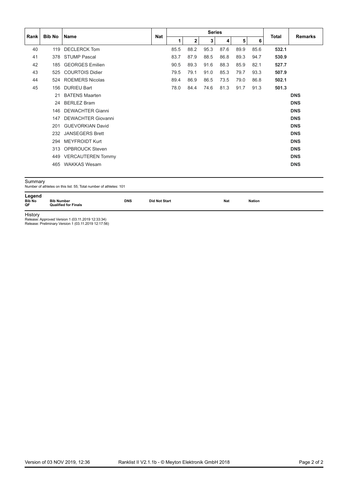|                               |                   |                                                                    |                      |      |              | <b>Series</b> |      |      |               |              |                |
|-------------------------------|-------------------|--------------------------------------------------------------------|----------------------|------|--------------|---------------|------|------|---------------|--------------|----------------|
| Rank                          | <b>Bib No</b>     | <b>Name</b>                                                        | <b>Nat</b>           | 1    | $\mathbf{2}$ | 3             | 4    | 5    | 6             | <b>Total</b> | <b>Remarks</b> |
| 40                            | 119               | <b>DECLERCK Tom</b>                                                |                      | 85.5 | 88.2         | 95.3          | 87.6 | 89.9 | 85.6          | 532.1        |                |
| 41                            | 378               | <b>STUMP Pascal</b>                                                |                      | 83.7 | 87.9         | 88.5          | 86.8 | 89.3 | 94.7          | 530.9        |                |
| 42                            | 185               | <b>GEORGES Emilien</b>                                             |                      | 90.5 | 89.3         | 91.6          | 88.3 | 85.9 | 82.1          | 527.7        |                |
| 43                            | 525               | <b>COURTOIS Didier</b>                                             |                      | 79.5 | 79.1         | 91.0          | 85.3 | 79.7 | 93.3          | 507.9        |                |
| 44                            |                   | 524 ROEMERS Nicolas                                                |                      | 89.4 | 86.9         | 86.5          | 73.5 | 79.0 | 86.8          | 502.1        |                |
| 45                            | 156               | <b>DURIEU Bart</b>                                                 |                      | 78.0 | 84.4         | 74.6          | 81.3 | 91.7 | 91.3          | 501.3        |                |
|                               | 21                | <b>BATENS Maarten</b>                                              |                      |      |              |               |      |      |               |              | <b>DNS</b>     |
|                               | 24                | <b>BERLEZ Bram</b>                                                 |                      |      |              |               |      |      |               |              | <b>DNS</b>     |
|                               | 146               | <b>DEWACHTER Gianni</b>                                            |                      |      |              |               |      |      |               |              | <b>DNS</b>     |
|                               | 147               | <b>DEWACHTER Giovanni</b>                                          |                      |      |              |               |      |      |               |              | <b>DNS</b>     |
|                               | 201               | <b>GUEVORKIAN David</b>                                            |                      |      |              |               |      |      |               |              | <b>DNS</b>     |
|                               | 232               | <b>JANSEGERS Brett</b>                                             |                      |      |              |               |      |      |               |              | <b>DNS</b>     |
|                               | 294               | <b>MEYFROIDT Kurt</b>                                              |                      |      |              |               |      |      |               |              | <b>DNS</b>     |
|                               | 313               | <b>OPBROUCK Steven</b>                                             |                      |      |              |               |      |      |               |              | <b>DNS</b>     |
|                               | 449               | <b>VERCAUTEREN Tommy</b>                                           |                      |      |              |               |      |      |               |              | <b>DNS</b>     |
|                               | 465               | <b>WAKKAS Wesam</b>                                                |                      |      |              |               |      |      |               |              | <b>DNS</b>     |
| Summary                       |                   | Number of athletes on this list: 55; Total number of athletes: 101 |                      |      |              |               |      |      |               |              |                |
| Legend<br><b>Bib No</b><br>QF | <b>Bib Number</b> | <b>DNS</b><br><b>Qualified for Finals</b>                          | <b>Did Not Start</b> |      |              |               | Nat  |      | <b>Nation</b> |              |                |

History Release: Approved Version 1 (03.11.2019 12:33:34) Release: Preliminary Version 1 (03.11.2019 12:17:56)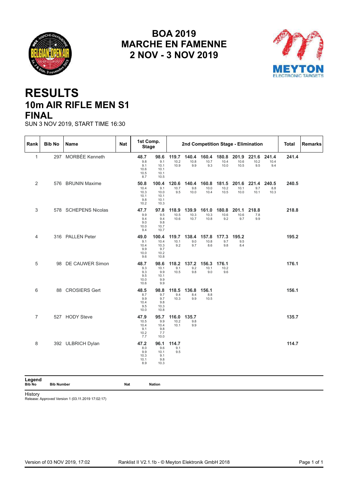<span id="page-37-0"></span>



## **RESULTS 10m AIR RIFLE MEN S1 FINAL**

SUN 3 NOV 2019, START TIME 16:30

| Rank             | <b>Bib No</b>     | Name                 | Nat |                                             | 1st Comp.<br><b>Stage</b>                    |                       |                       |                                  |                             |                       | 2nd Competition Stage - Elimination |                      | Total | Remarks |
|------------------|-------------------|----------------------|-----|---------------------------------------------|----------------------------------------------|-----------------------|-----------------------|----------------------------------|-----------------------------|-----------------------|-------------------------------------|----------------------|-------|---------|
| $\mathbf{1}$     |                   | 297 MORBÉE Kenneth   |     | 48.7<br>9.8<br>9.1<br>10.6<br>10.5<br>8.7   | 98.6<br>9.1<br>10.1<br>10.1<br>10.1<br>10.5  | 119.7<br>10.2<br>10.9 | 140.4<br>10.8<br>9.9  | 160.4<br>10.7<br>9.3             | 180.8 201.9<br>10.4<br>10.0 | 10.6<br>10.5          | 221.6<br>10.2<br>9.5                | 241.4<br>10.4<br>9.4 | 241.4 |         |
| 2                |                   | 576 BRUNIN Maxime    |     | 50.8<br>10.4<br>10.3<br>10.1<br>9.8<br>10.2 | 100.4<br>9.1<br>10.0<br>10.1<br>10.1<br>10.3 | 120.6<br>10.7<br>9.5  | 140.4<br>9.8<br>10.0  | 160.8<br>10.0<br>10.4            | 181.5<br>10.2<br>10.5       | 201.6<br>10.1<br>10.0 | 221.4<br>9.7<br>10.1                | 240.5<br>8.8<br>10.3 | 240.5 |         |
| 3                |                   | 578 SCHEPENS Nicolas |     | 47.7<br>9.9<br>9.4<br>9.0<br>10.0<br>9.4    | 97.8<br>9.5<br>9.4<br>9.8<br>10.7<br>10.7    | 118.9<br>10.5<br>10.6 | 139.9<br>10.3<br>10.7 | 161.0<br>10.3<br>10.8            | 180.8<br>10.6<br>9.2        | 201.1<br>10.6<br>9.7  | 218.8<br>7.8<br>9.9                 |                      | 218.8 |         |
| 4                |                   | 316 PALLEN Peter     |     | 49.0<br>9.1<br>10.4<br>9.9<br>10.0<br>9.6   | 100.4<br>10.4<br>10.3<br>9.7<br>10.2<br>10.8 | 119.7<br>10.1<br>9.2  | 138.4<br>9.0<br>9.7   | 157.8<br>10.8<br>8.6             | 177.3<br>9.7<br>9.8         | 195.2<br>9.5<br>8.4   |                                     |                      | 195.2 |         |
| 5                |                   | 98 DE CAUWER Simon   |     | 48.7<br>9.3<br>9.3<br>9.5<br>10.0<br>10.6   | 98.6<br>10.1<br>9.9<br>10.1<br>9.9<br>9.9    | 118.2<br>9.1<br>10.5  | 9.2<br>9.8            | 137.2 156.3 176.1<br>10.1<br>9.0 | 10.2<br>9.6                 |                       |                                     |                      | 176.1 |         |
| 6                |                   | 88 CROSIERS Gert     |     | 48.5<br>8.7<br>9.9<br>10.4<br>9.5<br>10.0   | 98.8<br>9.7<br>9.7<br>9.8<br>10.3<br>10.8    | 118.5<br>9.4<br>10.3  | 136.8<br>8.4<br>9.9   | 156.1<br>8.8<br>10.5             |                             |                       |                                     |                      | 156.1 |         |
| $\overline{7}$   |                   | 527 HODY Steve       |     | 47.9<br>10.5<br>10.4<br>9.1<br>10.2<br>7.7  | 95.7<br>9.9<br>10.4<br>9.8<br>7.7<br>10.0    | 116.0<br>10.2<br>10.1 | 135.7<br>9.8<br>9.9   |                                  |                             |                       |                                     |                      | 135.7 |         |
| 8                |                   | 392 ULBRICH Dylan    |     | 47.2<br>8.0<br>9.9<br>10.3<br>10.1<br>8.9   | 96.1<br>9.6<br>10.1<br>9.1<br>9.8<br>10.3    | 114.7<br>9.1<br>9.5   |                       |                                  |                             |                       |                                     |                      | 114.7 |         |
| Legend<br>Bib No | <b>Bib Number</b> |                      | Nat |                                             | <b>Nation</b>                                |                       |                       |                                  |                             |                       |                                     |                      |       |         |

History

Release: Approved Version 1 (03.11.2019 17:02:17)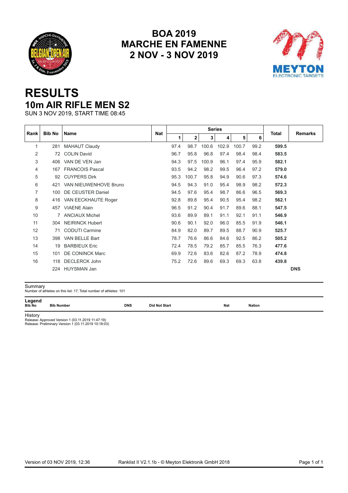<span id="page-38-0"></span>



## **RESULTS 10m AIR RIFLE MEN S2**

SUN 3 NOV 2019, START TIME 08:45

| Rank           | <b>Bib No</b> | <b>Name</b>            | <b>Nat</b> |      |              | <b>Series</b> |       |       |      | <b>Total</b> | <b>Remarks</b> |
|----------------|---------------|------------------------|------------|------|--------------|---------------|-------|-------|------|--------------|----------------|
|                |               |                        |            | 1.   | $\mathbf{2}$ | 3             | 4     | 5     | 6    |              |                |
| 1              | 281           | <b>MAHAUT Claudy</b>   |            | 97.4 | 98.7         | 100.6         | 102.9 | 100.7 | 99.2 | 599.5        |                |
| $\overline{2}$ | 72            | <b>COLIN David</b>     |            | 96.7 | 95.8         | 96.8          | 97.4  | 98.4  | 98.4 | 583.5        |                |
| 3              | 406           | VAN DE VEN Jan         |            | 94.3 | 97.5         | 100.9         | 96.1  | 97.4  | 95.9 | 582.1        |                |
| 4              | 167           | <b>FRANCOIS Pascal</b> |            | 93.5 | 94.2         | 98.2          | 99.5  | 96.4  | 97.2 | 579.0        |                |
| 5              | 92            | <b>CUYPERS Dirk</b>    |            | 95.3 | 100.7        | 95.8          | 94.9  | 90.6  | 97.3 | 574.6        |                |
| 6              | 421           | VAN NIEUWENHOVE Bruno  |            | 94.5 | 94.3         | 91.0          | 95.4  | 98.9  | 98.2 | 572.3        |                |
| $\overline{7}$ | 100           | DE CEUSTER Daniel      |            | 94.5 | 97.6         | 95.4          | 98.7  | 86.6  | 96.5 | 569.3        |                |
| 8              | 416           | VAN EECKHAUTE Roger    |            | 92.8 | 89.8         | 95.4          | 90.5  | 95.4  | 98.2 | 562.1        |                |
| 9              | 457           | <b>VIAENE Alain</b>    |            | 96.5 | 91.2         | 90.4          | 91.7  | 89.6  | 88.1 | 547.5        |                |
| 10             | 7             | <b>ANCIAUX Michel</b>  |            | 93.6 | 89.9         | 89.1          | 91.1  | 92.1  | 91.1 | 546.9        |                |
| 11             | 304           | <b>NEIRINCK Hubert</b> |            | 90.6 | 90.1         | 92.0          | 96.0  | 85.5  | 91.9 | 546.1        |                |
| 12             | 71            | <b>CODUTI Carmine</b>  |            | 84.9 | 82.0         | 89.7          | 89.5  | 88.7  | 90.9 | 525.7        |                |
| 13             | 398           | VAN BELLE Bart         |            | 78.7 | 76.6         | 86.6          | 84.6  | 92.5  | 86.2 | 505.2        |                |
| 14             | 19            | <b>BARBIEUX Eric</b>   |            | 72.4 | 78.5         | 79.2          | 85.7  | 85.5  | 76.3 | 477.6        |                |
| 15             | 101           | <b>DE CONINCK Marc</b> |            | 69.9 | 72.6         | 83.6          | 82.6  | 87.2  | 78.9 | 474.8        |                |
| 16             | 118           | <b>DECLERCK John</b>   |            | 75.2 | 72.6         | 89.6          | 69.3  | 69.3  | 63.8 | 439.8        |                |
|                | 224           | <b>HUYSMAN Jan</b>     |            |      |              |               |       |       |      |              | <b>DNS</b>     |

Summary Number of athletes on this list: 17; Total number of athletes: 101

**Legend<br>Bib No Bib Number Bummary**<br>Number of athletes on this list: 17; Total number of athletes: 101<br>**Legend** Bib No Bib Number DNS Did Not Start Nation<br>Bib No Bib Number

History

Release: Approved Version 1 (03.11.2019 11:47:19) Release: Preliminary Version 1 (03.11.2019 10:18:03)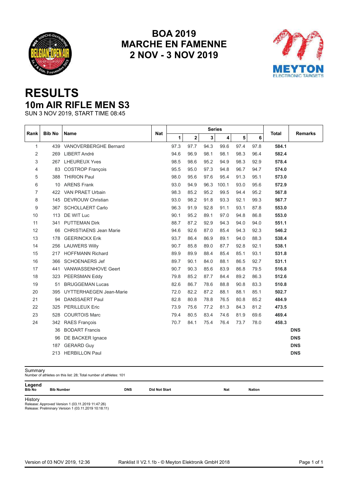<span id="page-39-0"></span>



## **RESULTS 10m AIR RIFLE MEN S3**

SUN 3 NOV 2019, START TIME 08:45

|                |               |                               |            |      |      | <b>Series</b> |       |      |      |              |                |
|----------------|---------------|-------------------------------|------------|------|------|---------------|-------|------|------|--------------|----------------|
| Rank           | <b>Bib No</b> | Name                          | <b>Nat</b> | 1    | 2    | 3             | 4     | 5    | 6    | <b>Total</b> | <b>Remarks</b> |
| $\mathbf{1}$   |               | 439 VANOVERBERGHE Bernard     |            | 97.3 | 97.7 | 94.3          | 99.6  | 97.4 | 97.8 | 584.1        |                |
| 2              | 269           | LIBERT André                  |            | 94.6 | 96.9 | 98.1          | 98.1  | 98.3 | 96.4 | 582.4        |                |
| 3              | 267           | <b>LHEUREUX Yves</b>          |            | 98.5 | 98.6 | 95.2          | 94.9  | 98.3 | 92.9 | 578.4        |                |
| 4              | 83            | <b>COSTROP François</b>       |            | 95.5 | 95.0 | 97.3          | 94.8  | 96.7 | 94.7 | 574.0        |                |
| 5              | 388           | <b>THIRION Paul</b>           |            | 98.0 | 95.6 | 97.6          | 95.4  | 91.3 | 95.1 | 573.0        |                |
| 6              |               | 10 ARENS Frank                |            | 93.0 | 94.9 | 96.3          | 100.1 | 93.0 | 95.6 | 572.9        |                |
| $\overline{7}$ | 422           | VAN PRAET Urbain              |            | 98.3 | 85.2 | 95.2          | 99.5  | 94.4 | 95.2 | 567.8        |                |
| 8              | 145           | <b>DEVROUW Christian</b>      |            | 93.0 | 98.2 | 91.8          | 93.3  | 92.1 | 99.3 | 567.7        |                |
| 9              | 367           | <b>SCHOLLAERT Carlo</b>       |            | 96.3 | 91.9 | 92.8          | 91.1  | 93.1 | 87.8 | 553.0        |                |
| 10             | 113           | DE WIT Luc                    |            | 90.1 | 95.2 | 89.1          | 97.0  | 94.8 | 86.8 | 553.0        |                |
| 11             |               | 341 PUTTEMAN Dirk             |            | 88.7 | 87.2 | 92.9          | 94.3  | 94.0 | 94.0 | 551.1        |                |
| 12             | 66            | <b>CHRISTIAENS Jean Marie</b> |            | 94.6 | 92.6 | 87.0          | 85.4  | 94.3 | 92.3 | 546.2        |                |
| 13             | 178           | <b>GEERINCKX Erik</b>         |            | 93.7 | 86.4 | 86.9          | 89.1  | 94.0 | 88.3 | 538.4        |                |
| 14             | 256           | <b>LAUWERS Willy</b>          |            | 90.7 | 85.8 | 89.0          | 87.7  | 92.8 | 92.1 | 538.1        |                |
| 15             | 217           | <b>HOFFMANN Richard</b>       |            | 89.9 | 89.9 | 88.4          | 85.4  | 85.1 | 93.1 | 531.8        |                |
| 16             | 366           | <b>SCHOENAERS Jef</b>         |            | 89.7 | 90.1 | 84.0          | 88.1  | 86.5 | 92.7 | 531.1        |                |
| 17             | 441           | VANWASSENHOVE Geert           |            | 90.7 | 90.3 | 85.6          | 83.9  | 86.8 | 79.5 | 516.8        |                |
| 18             |               | 323 PEERSMAN Eddy             |            | 79.8 | 85.2 | 87.7          | 84.4  | 89.2 | 86.3 | 512.6        |                |
| 19             | 51            | <b>BRUGGEMAN Lucas</b>        |            | 82.6 | 86.7 | 78.6          | 88.8  | 90.8 | 83.3 | 510.8        |                |
| 20             | 395           | UYTTERHAEGEN Jean-Marie       |            | 72.0 | 82.2 | 87.2          | 88.1  | 88.1 | 85.1 | 502.7        |                |
| 21             | 94            | <b>DANSSAERT Paul</b>         |            | 82.8 | 80.8 | 78.8          | 76.5  | 80.8 | 85.2 | 484.9        |                |
| 22             | 325           | <b>PERILLEUX Eric</b>         |            | 73.9 | 75.6 | 77.2          | 81.3  | 84.3 | 81.2 | 473.5        |                |
| 23             | 528           | <b>COURTOIS Marc</b>          |            | 79.4 | 80.5 | 83.4          | 74.6  | 81.9 | 69.6 | 469.4        |                |
| 24             | 342           | <b>RAES François</b>          |            | 70.7 | 84.1 | 75.4          | 76.4  | 73.7 | 78.0 | 458.3        |                |
|                | 36            | <b>BODART Francis</b>         |            |      |      |               |       |      |      |              | <b>DNS</b>     |
|                | 96            | DE BACKER Ignace              |            |      |      |               |       |      |      |              | <b>DNS</b>     |
|                | 187           | <b>GERARD Guy</b>             |            |      |      |               |       |      |      |              | <b>DNS</b>     |
|                | 213           | <b>HERBILLON Paul</b>         |            |      |      |               |       |      |      |              | <b>DNS</b>     |

**Legend**<br>Bib No Bib Number

Summary Number of athletes on this list: 28; Total number of athletes: 101 **Bummary**<br>Number of athletes on this list: 28; Total number of athletes: 101<br>**Legend** Bib No Bib Number DNS Did Not Start Nation<br>Bib No Bib Number

History

Release: Approved Version 1 (03.11.2019 11:47:26) Release: Preliminary Version 1 (03.11.2019 10:18:11)